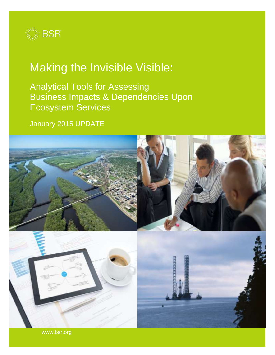

# Making the Invisible Visible:

Analytical Tools for Assessing Business Impacts & Dependencies Upon Ecosystem Services

January 2015 UPDATE



www.bsr.org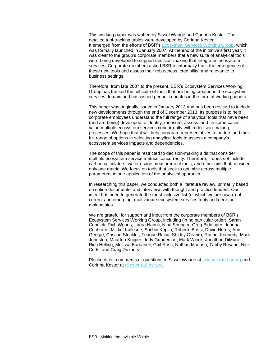This working paper was written by Sissel Waage and Corinna Kester. The detailed tool-tracking tables were developed by Corinna Kester. It emerged from the efforts of BSR's [Ecosystem Services Working Group,](http://www.bsr.org/en/our-work/working-groups/ecosystem-services-tools-markets) which was formally launched in January 2007. At the end of the initiative's first year, it was clear to the group's corporate members that a new suite of analytical tools were being developed to support decision-making that integrates ecosystem services. Corporate members asked BSR to informally track the emergence of these new tools and assess their robustness, credibility, and relevance to business settings.

Therefore, from late 2007 to the present, BSR's Ecosystem Services Working Group has tracked the full suite of tools that are being created in the ecosystem services domain and has issued periodic updates in the form of working papers.

This paper was originally issued in January 2013 and has been revised to include new developments through the end of December 2013. Its purpose is to help corporate employees understand the full range of analytical tools that have been (and are being) developed to identify, measure, assess, and, in some cases, value multiple ecosystem services concurrently within decision-making processes. We hope that it will help corporate representatives to understand their full range of options in selecting analytical tools to assess a company's ecosystem services impacts and dependencies.

The scope of this paper is restricted to decision-making aids that consider multiple ecosystem service metrics concurrently. Therefore, it does not include carbon calculators, water usage measurement tools, and other aids that consider only one metric. We focus on tools that seek to optimize across multiple parameters in one application of the analytical approach.

In researching this paper, we conducted both a literature review, primarily based on online documents, and interviews with thought and practice leaders. Our intent has been to generate the most inclusive list (of which we are aware) of current and emerging, multivariate ecosystem services tools and decisionmaking aids.

We are grateful for support and input from the corporate members of BSR's Ecosystem Services Working Group, including (in no particular order): Sarah Connick, Rich Woods, Laura Napoli, Nina Springer, Greg Biddinger, Joanna Cochrane, Mikkel Kallesoe, Sachin Kapila, Roberto Bossi, David Norris, Ann George, Cristian Strickler, Teague Raica, Shirley Oliveira, Rachel Kennedy, Mark Johnston, Maarten Kuijper, Judy Gunderson, Mark Weick, Jonathan DiMuro, Rich Helling, Melissa Barbanell, Gail Ross, Nathan Monash, Tabby Resane, Nick Cotts, and Craig Duxbury.

Please direct comments or questions to Sissel Waage at [swaage \(at\) bsr.org](mailto:swaage%20(at)%20bsr.org) and Corinna Kester at [ckester](mailto:ckester@bsr.org) (at) bsr.org.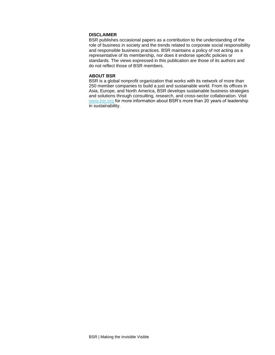#### **DISCLAIMER**

BSR publishes occasional papers as a contribution to the understanding of the role of business in society and the trends related to corporate social responsibility and responsible business practices. BSR maintains a policy of not acting as a representative of its membership, nor does it endorse specific policies or standards. The views expressed in this publication are those of its authors and do not reflect those of BSR members.

#### **ABOUT BSR**

BSR is a global nonprofit organization that works with its network of more than 250 member companies to build a just and sustainable world. From its offices in Asia, Europe, and North America, BSR develops sustainable business strategies and solutions through consulting, research, and cross-sector collaboration. Visit [www.bsr.org](http://www.bsr.org/) for more information about BSR's more than 20 years of leadership in sustainability.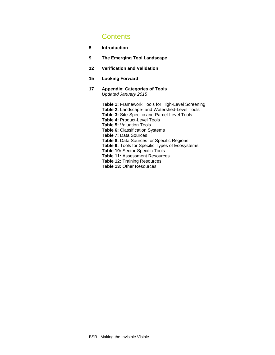# **Contents**

- **5 Introduction**
- **9 The Emerging Tool Landscape**
- **12 Verification and Validation**
- **15 Looking Forward**
- **17 Appendix: Categories of Tools** Updated January 2015

**Table 1:** Framework Tools for High-Level Screening **Table 2:** Landscape- and Watershed-Level Tools **Table 3:** Site-Specific and Parcel-Level Tools **Table 4:** Product-Level Tools **Table 5:** Valuation Tools **Table 6:** Classification Systems **Table 7:** Data Sources **Table 8:** Data Sources for Specific Regions **Table 9:** Tools for Specific Types of Ecosystems **Table 10:** Sector-Specific Tools **Table 11:** Assessment Resources **Table 12:** Training Resources **Table 13:** Other Resources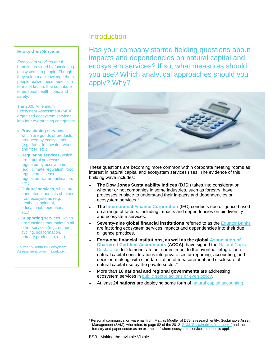#### **Ecosystem Services**

Ecosystem services are the benefits provided by functioning ecosystems to people. Though they seldom acknowledge them, people realize these benefits in terms of factors that contribute to personal health, jobs, and safety.

The 2005 Millennium Ecosystem Assessment (MEA) organized ecosystem services into four overarching categories:

- » **Provisioning services,** which are goods or products produced by ecosystems (e.g., food, freshwater, wood and fiber, etc.)
- » **Regulating services,** which are natural processes regulated by ecosystems (e.g., climate regulation, food regulation, disease regulation, water purification, etc.)
- » **Cultural services,** which are nonmaterial benefits obtained from ecosystems (e.g., aesthetic, spiritual, educational, recreational, etc.)
- » **Supporting services**, which are functions that maintain all other services (e.g., nutrient cycling, soil formation, primary production, etc.)

Source: Millennium Ecosystem Assessment[, www.maweb.org.](http://www.maweb.org/)

# **Introduction**

Has your company started fielding questions about impacts and dependencies on natural capital and ecosystem services? If so, what measures should you use? Which analytical approaches should you apply? Why?



These questions are becoming more common within corporate meeting rooms as interest in natural capital and ecosystem services rises. The evidence of this building wave includes:

- » **The Dow Jones Sustainability Indices** (DJSI) takes into consideration whether or not companies in some industries, such as forestry, have processes in place to understand their impacts and dependencies on ecosystem services.<sup>1</sup>
- » **The [International Finance Corporation](http://www1.ifc.org/wps/wcm/connect/corp_ext_content/ifc_external_corporate_site/home)** (IFC) conducts due diligence based on a range of factors, including impacts and dependencies on biodiversity and ecosystem services.
- **Seventy-nine global financial institutions** referred to as the [Equator Banks](http://www.equator-principles.com/index.php/members-reporting/members-and-reporting) are factoring ecosystem services impacts and dependencies into their due diligence practices.
- » **Forty-one financial institutions, as well as the global [Association of](http://www.accaglobal.com/gb/en.html)  [Chartered Certified Accountants](http://www.accaglobal.com/gb/en.html) (ACCA)**, have signed the [Natural Capital](http://www.naturalcapitaldeclaration.org/)  [Declaration](http://www.naturalcapitaldeclaration.org/) to "demonstrate our commitment to the eventual integration of natural capital considerations into private sector reporting, accounting, and decision-making, with standardization of measurement and disclosure of natural capital use by the private sector."
- » More than **16 national and regional governments** are addressing ecosystem services in public [sector actions or even](http://www.bsr.org/en/our-insights/report-view/global-public-sector-trends-in-ecosystem-services-2009-2012) policy.
- » At least **24 nations** are deploying some form of [natural capital accounting.](http://www.wavespartnership.org/waves/sites/waves/files/images/Moving_Beyond_GDP.pdf)

 $\overline{a}$ 

<sup>1</sup> Personal communication via email from Mattias Mueller of DJSI's research entity, Sustainable Asset Management (SAM), who refers to page 82 of the 2012 SAM "[Sustainability Yearbook](http://www.sustainability-index.com/images/sam-yearbook-2012-final_tcm1071-337504.pdf)," and the forestry and paper sector as an example of where ecosystem services criterion is applied.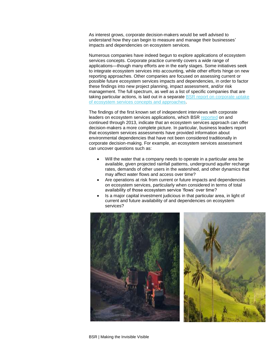As interest grows, corporate decision-makers would be well advised to understand how they can begin to measure and manage their businesses' impacts and dependencies on ecosystem services.

Numerous companies have indeed begun to explore applications of ecosystem services concepts. Corporate practice currently covers a wide range of applications—though many efforts are in the early stages. Some initiatives seek to integrate ecosystem services into accounting, while other efforts hinge on new reporting approaches. Other companies are focused on assessing current or possible future ecosystem services impacts and dependencies, in order to factor these findings into new project planning, impact assessment, and/or risk management. The full spectrum, as well as a list of specific companies that are taking particular actions, is laid out in a separate BSR report on corporate uptake [of ecosystem services concepts and approaches.](http://www.bsr.org/en/our-insights/report-view/private-sector-uptake-of-ecosystem-services-concepts-and-frameworks)

The findings of the first known set of independent interviews with corporate leaders on ecosystem services applications, which BSR [reported](http://www.bsr.org/en/our-insights/report-view/the-quiet-revolution-in-expectations-of-corporate-environmental-performance) on and continued through 2013, indicate that an ecosystem services approach can offer decision-makers a more complete picture. In particular, business leaders report that ecosystem services assessments have provided information about environmental dependencies that have not been considered traditionally in corporate decision-making. For example, an ecosystem services assessment can uncover questions such as:

- Will the water that a company needs to operate in a particular area be available, given projected rainfall patterns, underground aquifer recharge rates, demands of other users in the watershed, and other dynamics that may affect water flows and access over time?
- Are operations at risk from current or future impacts and dependencies on ecosystem services, particularly when considered in terms of total availability of those ecosystem service 'flows' over time?
- Is a major capital investment judicious in that particular area, in light of current and future availability of and dependencies on ecosystem services?

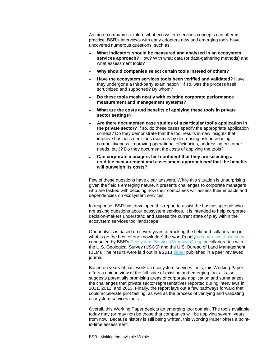As more companies explore what ecosystem services concepts can offer in practice, BSR's interviews with early adopters new and emerging tools have uncovered numerous questions, such as:

- » **What indicators should be measured and analyzed in an ecosystem services approach?** How? With what data (or data-gathering methods) and what assessment tools?
- » **Why should companies select certain tools instead of others?**
- » **Have the ecosystem services tools been verified and validated?** Have they undergone a third-party examination? If so, was the process itself scrutinized and supported? By whom?
- » **Do these tools mesh neatly with existing corporate performance measurement and management systems?**
- » **What are the costs and benefits of applying these tools in private sector settings?**
- » **Are there documented case studies of a particular tool's application in the private sector?** If so, do these cases specify the appropriate application context? Do they demonstrate that the tool results in new insights that improve business decisions (such as by decreasing risk, increasing competitiveness, improving operational efficiencies, addressing customer needs, etc.)? Do they document the costs of applying the tools?
- » **Can corporate managers feel confident that they are selecting a credible measurement and assessment approach and that the benefits will outweigh its costs?**

Few of these questions have clear answers. While this situation is unsurprising given the field's emerging nature, it presents challenges to corporate managers who are tasked with deciding how their companies will assess their impacts and dependencies on ecosystem services.

In response, BSR has developed this report to assist the businesspeople who are asking questions about ecosystem services. It is intended to help corporate decision-makers understand and assess the current state of play within the ecosystem services tool landscape.

Our analysis is based on seven years of tracking the field and collaborating in what is (to the best of our knowledge) the world's only [comparative tool testing,](http://www.bsr.org/reports/BSR_ESTM_WG_Comp_ES_Tools_Synthesis3.pdf) conducted by BSR's [Ecosystem Services Working Group](http://www.bsr.org/en/our-work/working-groups/ecosystem-services-tools-markets) in collaboration with the U.S. Geological Survey (USGS) and the U.S. Bureau of Land Management (BLM). The results were laid out in a 2013 [paper](http://www.sciencedirect.com/science/article/pii/S221204161300051X) published in a peer reviewed journal.

Based on years of past work on ecosystem services tools, this Working Paper offers a unique view of the full suite of existing and emerging tools. It also suggests potentially promising areas of corporate application and summarizes the challenges that private sector representatives reported during interviews in 2011, 2012, and 2013. Finally, the report lays out a few pathways forward that could accelerate pilot testing, as well as the process of verifying and validating ecosystem services tools.

Overall, this Working Paper depicts an emerging tool domain. The tools available today may (or may not) be those that companies will be applying several years from now. Because history is still being written, this Working Paper offers a pointin-time assessment.

BSR | Making the Invisible Visible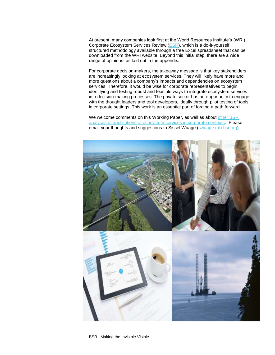At present, many companies look first at the World Resources Institute's (WRI) Corporate Ecosystem Services Review [\(ESR\)](http://www.wri.org/publication/corporate-ecosystem-services-review), which is a do-it-yourself structured methodology available through a free Excel spreadsheet that can be downloaded from the WRI website. Beyond this initial step, there are a wide range of opinions, as laid out in the appendix.

For corporate decision-makers, the takeaway message is that key stakeholders are increasingly looking at ecosystem services. They will likely have more and more questions about a company's impacts and dependencies on ecosystem services. Therefore, it would be wise for corporate representatives to begin identifying and testing robust and feasible ways to integrate ecosystem services into decision-making processes. The private sector has an opportunity to engage with the thought leaders and tool developers, ideally through pilot testing of tools in corporate settings. This work is an essential part of forging a path forward.

We welcome comments on this Working Paper, as well as about other BSR [analyses of applications of ecosystem services in corporate contexts.](http://www.bsr.org/en/our-work/working-groups/ecosystem-services-tools-markets) Please email your thoughts and suggestions to Sissel Waage (swaage [\(at\) bsr.org\)](mailto:swaage@bsr.org).

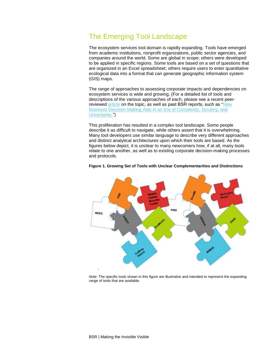# The Emerging Tool Landscape

The ecosystem services tool domain is rapidly expanding. Tools have emerged from academic institutions, nonprofit organizations, public sector agencies, and companies around the world. Some are global in scope; others were developed to be applied in specific regions. Some tools are based on a set of questions that are organized in an Excel spreadsheet; others require users to enter quantitative ecological data into a format that can generate geographic information system (GIS) maps.

The range of approaches to assessing corporate impacts and dependencies on ecosystem services is wide and growing. (For a detailed list of tools and descriptions of the various approaches of each, please see a recent peerreviewed [article](http://www.sciencedirect.com/science/article/pii/S221204161300051X) on the topic, as well as past BSR reports, such as "New [Business Decision-Making Aids in an Era of Complexity, Scrutiny, and](http://www.bsr.org/en/our-insights/report-view/new-business-decision-making-aids-in-an-era-of-complexity)  [Uncertainty.](http://www.bsr.org/en/our-insights/report-view/new-business-decision-making-aids-in-an-era-of-complexity)")

This proliferation has resulted in a complex tool landscape. Some people describe it as difficult to navigate, while others assert that it is overwhelming. Many tool developers use similar language to describe very different approaches and distinct analytical architectures upon which their tools are based. As the figures below depict, it is unclear to many newcomers how, if at all, many tools relate to one another, as well as to existing corporate decision-making processes and protocols.



#### **Figure 1. Growing Set of Tools with Unclear Complementarities and Distinctions**

Note: The specific tools shown in this figure are illustrative and intended to represent the expanding range of tools that are available.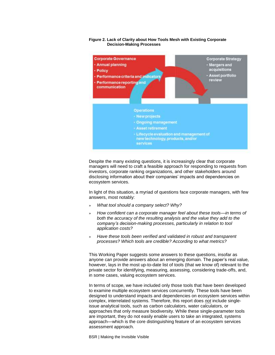#### **Figure 2. Lack of Clarity about How Tools Mesh with Existing Corporate Decision-Making Processes**



Despite the many existing questions, it is increasingly clear that corporate managers will need to craft a feasible approach for responding to requests from investors, corporate ranking organizations, and other stakeholders around disclosing information about their companies' impacts and dependencies on ecosystem services.

In light of this situation, a myriad of questions face corporate managers, with few answers, most notably:

- » What tool should a company select? Why?
- » How confident can a corporate manager feel about these tools*—*in terms of both the accuracy of the resulting analysis and the value they add to the *company's decision*-making processes, particularly in relation to tool application costs?
- » Have these tools been verified and validated in robust and transparent processes? Which tools are credible? According to what metrics?

This Working Paper suggests some answers to these questions, insofar as anyone can provide answers about an emerging domain. The paper's real value, however, lays in the most up-to-date list of tools (that we know of) relevant to the private sector for identifying, measuring, assessing, considering trade-offs, and, in some cases, valuing ecosystem services.

In terms of scope, we have included only those tools that have been developed to examine multiple ecosystem services concurrently. These tools have been designed to understand impacts and dependencies on ecosystem services within complex, interrelated systems. Therefore, this report does not include singleissue analytical tools, such as carbon calculators, water calculators, or approaches that only measure biodiversity. While these single-parameter tools are important, they do not easily enable users to take an integrated, systems approach—which is the core distinguishing feature of an ecosystem services assessment approach.

BSR | Making the Invisible Visible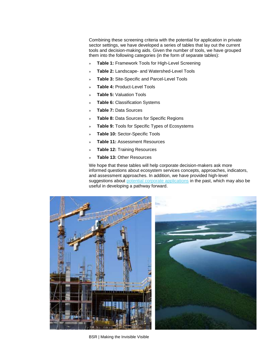Combining these screening criteria with the potential for application in private sector settings, we have developed a series of tables that lay out the current tools and decision-making aids. Given the number of tools, we have grouped them into the following categories (in the form of separate tables):

- » **Table 1:** Framework Tools for High-Level Screening
- » **Table 2:** Landscape- and Watershed-Level Tools
- » **Table 3:** Site-Specific and Parcel-Level Tools
- » **Table 4:** Product-Level Tools
- » **Table 5:** Valuation Tools
- » **Table 6:** Classification Systems
- » **Table 7:** Data Sources
- » **Table 8:** Data Sources for Specific Regions
- Table 9: Tools for Specific Types of Ecosystems
- » **Table 10:** Sector-Specific Tools
- » **Table 11:** Assessment Resources
- » **Table 12:** Training Resources
- » **Table 13:** Other Resources

We hope that these tables will help corporate decision-makers ask more informed questions about ecosystem services concepts, approaches, indicators, and assessment approaches. In addition, we have provided high-level suggestions about [potential corporate applications](http://www.bsr.org/reports/BSR_Supplementary_Future_Expectations_Corporate_Environmental_Performance.pdf) in the past, which may also be useful in developing a pathway forward.



BSR | Making the Invisible Visible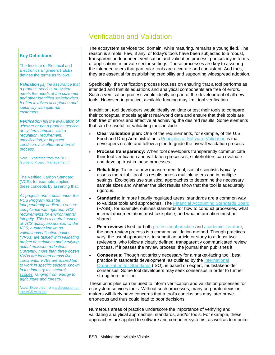# Verification and Validation

#### **Key Definitions**

The Institute of Electrical and Electronics Engineers (IEEE) defines the terms as follows:

**Validation** [is] the assurance that a product, service, or system meets the needs of the customer and other identified stakeholders. It often involves acceptance and suitability with external customers.

**Verification** [is] the evaluation of whether or not a product, service, or system complies with a regulation, requirement, specification, or imposed condition. It is often an internal process.

Note: Excerpted from the "I[EEE](http://ieeexplore.ieee.org/xpl/articleDetails.jsp?tp=&arnumber=6086685&contentType=Standards&sortType%3Dasc_p_Sequence%26filter%3DAND%28p_Publication_Number%3A6086683%29)  [Guide to Project Management](http://ieeexplore.ieee.org/xpl/articleDetails.jsp?tp=&arnumber=6086685&contentType=Standards&sortType%3Dasc_p_Sequence%26filter%3DAND%28p_Publication_Number%3A6086683%29)."

The Verified Carbon Standard (VCS), for example, applies these concepts by asserting that:

All projects and credits under the VCS Program must be independently audited to ensure compliance with rigorous VCS requirements for environmental integrity. This is a central aspect of VCS quality assurance. Under VCS, auditors known as validation/verification bodies (VVBs) are tasked with validating project descriptions and verifying actual emission reductions. Currently, more than three dozen VVBs are located across five continents. VVBs are accredited to work in specific sectors, known in the industry a[s sectoral](http://v-c-s.org/project-types)  [scopes,](http://v-c-s.org/project-types) ranging from energy to agriculture and forestry.

Note: Excerpted from [a discussion](http://www.v-c-s.org/verification-validation/what-vvb) on [the VCS website.](http://www.v-c-s.org/verification-validation/what-vvb)

The ecosystem services tool domain, while maturing, remains a young field. The reason is simple. Few, if any, of today's tools have been subjected to a robust, transparent, independent verification and validation process, particularly in terms of applications in private sector settings. These processes are key to assuring the intended users that particular tools are accurate and consistent. And thus, they are essential for establishing credibility and supporting widespread adoption.

Specifically, the verification process focuses on ensuring that a tool performs as intended and that its equations and analytical components are free of errors. Such a verification process would ideally be part of the development of all new tools. However, in practice, available funding may limit tool verification.

In addition, tool developers would ideally validate or test their tools to compare their conceptual models against real-world data and ensure that their tools are both free of errors and effective at achieving the desired results. Some elements that can be useful for validating tools include:

- » **Clear validation plan:** One of the requirements, for example, of the U.S. Food and Drug Administration's [Principles of Software Validation](http://www.fda.gov/MedicalDevices/DeviceRegulationandGuidance/GuidanceDocuments/ucm085281.htm) is that developers create and follow a plan to guide the overall validation process.
- » **Process transparency:** When tool developers transparently communicate their tool verification and validation processes, stakeholders can evaluate and develop trust in these processes.
- » **Reliability:** To test a new measurement tool, social scientists typically assess the reliability of its results across multiple users and in multiple settings. Ecologists use statistical approaches to determine the necessary sample sizes and whether the pilot results show that the tool is adequately rigorous.
- **Standards:** In more heavily regulated areas, standards are a common way to validate tools and approaches. The [Financial Accounting Standards Board](http://www.fasb.org/home) (FASB), for example, outlines standards for how to conduct processes, what internal documentation must take place, and what information must be shared.
- Peer review: Used for both **professional practice** and **academic literature**, the peer-review process is a common validation method. Though practices vary, the usual approach is to submit an article or study to at least two reviewers, who follow a clearly defined, transparently communicated review process. If it passes the review process, the journal then publishes it.
- » **Consensus:** Though not strictly necessary for a market-facing tool, best practice in standards development, as outlined by the [International](http://www.iso.org/iso/home/standards_development.htm)  [Organization](http://www.iso.org/iso/home/standards_development.htm) for Standards (ISO), is based on expert, multistakeholder consensus. Some tool developers may seek consensus in order to further strengthen their tool.

These principles can be used to inform verification and validation processes for ecosystem services tools. Without such processes, many corporate decisionmakers will likely have concerns that a tool's conclusions may later prove erroneous and thus could lead to poor decisions.

Numerous areas of practice underscore the importance of verifying and validating analytical approaches, standards, and/or tools. For example, these approaches are applied to software and computer systems, as well as to monitor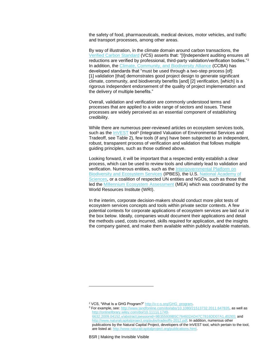the safety of food, pharmaceuticals, medical devices, motor vehicles, and traffic and transport processes, among other areas.

By way of illustration, in the climate domain around carbon transactions, the [Verified Carbon Standard](http://v-c-s.org/) (VCS) asserts that: "[I]ndependent auditing ensures all reductions are verified by professional, third-party validation/verification bodies."<sup>2</sup> In addition, the [Climate, Community, and Biodiversity Alliance](http://www.climate-standards.org/ccb-standards/) (CCBA) has developed standards that "must be used through a two-step process [of]: [1] validation [that] demonstrates good project design to generate significant climate, community, and biodiversity benefits [and] [2] verification, [which] is a rigorous independent endorsement of the quality of project implementation and the delivery of multiple benefits."

Overall, validation and verification are commonly understood terms and processes that are applied to a wide range of sectors and issues. These processes are widely perceived as an essential component of establishing credibility.

While there are numerous peer-reviewed articles on ecosystem services tools, such as the **InVEST** tool<sup>3</sup> (Integrated Valuation of Environmental Services and Tradeoff, see Table 2), few tools (if any) have been subjected to an independent, robust, transparent process of verification and validation that follows multiple guiding principles, such as those outlined above.

Looking forward, it will be important that a respected entity establish a clear process, which can be used to review tools and ultimately lead to validation and verification. Numerous entities, such as the Intergovernmental Platform on [Biodiversity and Ecosystem Services](http://www.ipbes.net/) (IPBES), the U.S. [National Academy of](http://www.nasonline.org/)  [Sciences,](http://www.nasonline.org/) or a coalition of respected UN entities and NGOs, such as those that led the [Millennium Ecosystem Assessment](http://www.unep.org/maweb/en/index.aspx) (MEA) which was coordinated by the World Resources Institute (WRI).

In the interim, corporate decision-makers should conduct more pilot tests of ecosystem services concepts and tools within private sector contexts. A few potential contexts for corporate applications of ecosystem services are laid out in the box below. Ideally, companies would document their applications and detail the methods used, costs incurred, skills required for application, and the insights the company gained, and make them available within publicly available materials.

 $\overline{a}$ 

<sup>2</sup> VCS, "What Is a GHG Program?" [http://v-c-s.org/GHG\\_program.](http://v-c-s.org/GHG_program)

<sup>&</sup>lt;sup>3</sup> For example, see: [http://www.tandfonline.com/doi/abs/10.1080/21513732.2011.647835,](http://www.tandfonline.com/doi/abs/10.1080/21513732.2011.647835) as well as [http://onlinelibrary.wiley.com/doi/10.1111/j.1749-](http://onlinelibrary.wiley.com/doi/10.1111/j.1749-6632.2009.04152.x/abstract;jsessionid=9B355939B5C764602AD47C7816DD07A1.d02t01) [6632.2009.04152.x/abstract;jsessionid=9B355939B5C764602AD47C7816DD07A1.d02t01](http://onlinelibrary.wiley.com/doi/10.1111/j.1749-6632.2009.04152.x/abstract;jsessionid=9B355939B5C764602AD47C7816DD07A1.d02t01) and [http://www.naturalcapitalproject.org/pubs/tradeoffs-2012.pdf.](http://www.naturalcapitalproject.org/pubs/tradeoffs-2012.pdf) In addition, numerous other publications by the Natural Capital Project, developers of the InVEST tool, which pertain to the tool, are listed at: [http://www.naturalcapitalproject.org/publications.html.](http://www.naturalcapitalproject.org/publications.html)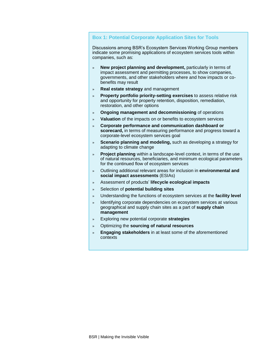#### **Box 1: Potential Corporate Application Sites for Tools**

Discussions among BSR's Ecosystem Services Working Group members indicate some promising applications of ecosystem services tools within companies, such as:

- » **New project planning and development,** particularly in terms of impact assessment and permitting processes, to show companies, governments, and other stakeholders where and how impacts or cobenefits may result
- » **Real estate strategy** and management
- » **Property portfolio priority-setting exercises** to assess relative risk and opportunity for property retention, disposition, remediation, restoration, and other options
- » **Ongoing management and decommissioning** of operations
- » **Valuation** of the impacts on or benefits to ecosystem services
- » **Corporate performance and communication dashboard or scorecard,** in terms of measuring performance and progress toward a corporate-level ecosystem services goal
- » **Scenario planning and modeling,** such as developing a strategy for adapting to climate change
- » **Project planning** within a landscape-level context, in terms of the use of natural resources, beneficiaries, and minimum ecological parameters for the continued flow of ecosystem services
- » Outlining additional relevant areas for inclusion in **environmental and social impact assessments** (ESIAs)
- » Assessment of products' **lifecycle ecological impacts**
- » Selection of **potential building sites**
- » Understanding the functions of ecosystem services at the **facility level**
- » Identifying corporate dependencies on ecosystem services at various geographical and supply chain sites as a part of **supply chain management**
- » Exploring new potential corporate **strategies**
- » Optimizing the **sourcing of natural resources**
- » **Engaging stakeholders** in at least some of the aforementioned contexts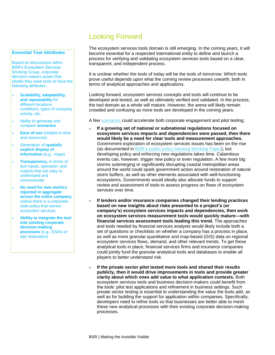# Looking Forward

#### **Essential Tool Attributes**

Based on discussions within BSR's Ecosystem Services Working Group, corporate decision-makers assert that ideally they want tools to have the following attributes:

- » **Scalability, adaptability, and repeatability** for different locations, conditions, types of company activity, etc.
- » Ability to generate and compare **scenarios**
- » **Ease of use** (related to time and resources)
- » Generation of **spatially explicit display of information** (e.g., maps)
- **Transparency, in terms of** tool inputs, operation, and outputs that are easy to understand and communicate
- » **No need for new metrics reported in aggregate across the entire company,** unless there is a corporatewide policy that names ecosystem services
- » **Ability to integrate the tool into existing corporate decision-making processes** (e.g., ESIAs or site restoration)

The ecosystem services tools domain is still emerging. In the coming years, it will become essential for a respected international entity to define and launch a process for verifying and validating ecosystem services tools based on a clear, transparent, and independent process.

It is unclear whether the tools of today will be the tools of tomorrow. Which tools prove useful depends upon what the coming review processes unearth, both in terms of analytical approaches and applications.

Looking forward, ecosystem services concepts and tools will continue to be developed and tested, as well as ultimately verified and validated. In the process, the tool domain as a whole will mature. However, the arena will likely remain crowded and confusing as more tools are developed in the coming years.

A few [scenarios](http://www.bsr.org/en/our-insights/report-view/seeing-the-future-business-context) could accelerate both corporate engagement and pilot testing:

- » **If a growing set of national or subnational regulations focused on ecosystem services impacts and dependencies were passed, then there would likely be a need for clear tools and measurement approaches.** Government exploration of ecosystem services issues has been on the rise (as documented in [BSR's public policy tracking](http://www.bsr.org/en/our-insights/report-view/global-public-sector-trends-in-ecosystem-services-2009-2013) Working Paper), but developing policy and enforcing new regulations takes time. Calamitous events can, however, trigger new policy or even regulation. A few more big storms submerging or significantly disrupting coastal metropolitan areas around the world could spark government action around restoration of natural storm buffers, as well as other elements associated with well-functioning ecosystems. Governments would ideally also allocate funds to support review and assessment of tools to assess progress on flows of ecosystem services over time.
- » **If lenders and/or insurance companies changed their lending practices based on new insights about risks presented to a project's (or company's) ecosystem services impacts and dependencies, then work on ecosystem services measurement tools would quickly mature—with financial services assessment tools leading this trend.** The approaches and tools needed by financial services analysts would likely include both a set of questions or checklists on whether a company has a process in place, as well as more granular quantitative and map-based (GIS) data on regional ecosystem services flows, demand, and other relevant trends. To get these analytical tools in place, financial services firms and insurance companies could jointly fund the granular analytical tools and databases to enable all players to better understand risk.
- » **If the private sector pilot tested more tools and shared their results publicly, then it would drive improvements in tools and provide greater clarity about which ones add value to what application contexts.** Both ecosystem services tools and business decision-makers could benefit from the tools' pilot test applications and refinement in business settings. Such private sector testing is essential to understanding the value the tools add, as well as for building the support for application within companies. Specifically, developers need to refine tools so that businesses are better able to mesh these new analytical processes with their existing corporate decision-making processes.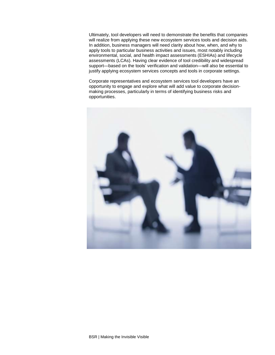Ultimately, tool developers will need to demonstrate the benefits that companies will realize from applying these new ecosystem services tools and decision aids. In addition, business managers will need clarity about how, when, and why to apply tools to particular business activities and issues, most notably including environmental, social, and health impact assessments (ESHIAs) and lifecycle assessments (LCAs). Having clear evidence of tool credibility and widespread support—based on the tools' verification and validation—will also be essential to justify applying ecosystem services concepts and tools in corporate settings.

Corporate representatives and ecosystem services tool developers have an opportunity to engage and explore what will add value to corporate decisionmaking processes, particularly in terms of identifying business risks and opportunities.

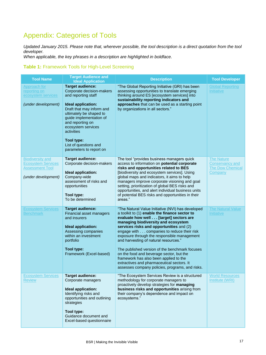# Appendix: Categories of Tools

Updated January 2015. Please note that, wherever possible, the tool description is a direct quotation from the tool developer.

When applicable, the key phrases in a description are highlighted in boldface.

### **Table 1:** Framework Tools for High-Level Screening

| <b>Tool Name</b>                                                                                      | <b>Target Audience and</b><br><b>Ideal Application</b>                                                                                                                                                                                                                                                         | <b>Description</b>                                                                                                                                                                                                                                                                                                                                                                                                                                                                                                                                                                                             | <b>Tool Developer</b>                                                      |
|-------------------------------------------------------------------------------------------------------|----------------------------------------------------------------------------------------------------------------------------------------------------------------------------------------------------------------------------------------------------------------------------------------------------------------|----------------------------------------------------------------------------------------------------------------------------------------------------------------------------------------------------------------------------------------------------------------------------------------------------------------------------------------------------------------------------------------------------------------------------------------------------------------------------------------------------------------------------------------------------------------------------------------------------------------|----------------------------------------------------------------------------|
| Approach for<br>reporting on<br>ecosystem services<br>(under development)                             | <b>Target audience:</b><br>Corporate decision-makers<br>and reporting staff<br>Ideal application:<br>Draft that may inform and<br>ultimately be shaped to<br>guide implementation of<br>and reporting on<br>ecosystem services<br>activities<br>Tool type:<br>List of questions and<br>parameters to report on | "The Global Reporting Initiative (GRI) has been<br>assessing opportunities to translate emerging<br>thinking around ES [ecosystem services] into<br>sustainability reporting indicators and<br>approaches that can be used as a starting point<br>by organizations in all sectors."                                                                                                                                                                                                                                                                                                                            | <b>Global Reporting</b><br><b>Initiative</b>                               |
| <b>Biodiversity and</b><br><b>Ecosystem Services</b><br><b>Assessment Tool</b><br>(under development) | <b>Target audience:</b><br>Corporate decision-makers<br>Ideal application:<br>Company-wide<br>assessment of risks and<br>opportunities<br>Tool type:<br>To be determined                                                                                                                                       | The tool "provides business managers quick<br>access to information on potential corporate<br>risks and opportunities related to BES<br>[biodiversity and ecosystem services]. Using<br>global maps and indicators, it aims to help<br>managers improve corporate visioning and goal<br>setting, prioritization of global BES risks and<br>opportunities, and alert individual business units<br>of potential BES risks and opportunities in their<br>areas."                                                                                                                                                  | <b>The Nature</b><br><b>Conservancy and</b><br>The Dow Chemical<br>Company |
| <b>Ecosystem Services</b><br><b>Benchmark</b>                                                         | <b>Target audience:</b><br>Financial asset managers<br>and insurers<br>Ideal application:<br>Assessing companies<br>within an investment<br>portfolio<br>Tool type:<br>Framework (Excel-based)                                                                                                                 | "The Natural Value Initiative (NVI) has developed<br>a toolkit to (1) enable the finance sector to<br>evaluate how well [target] sectors are<br>managing biodiversity and ecosystem<br>services risks and opportunities and (2)<br>engage with companies to reduce their risk<br>exposure through the responsible management<br>and harvesting of natural resources."<br>The published version of the benchmark focuses<br>on the food and beverage sector, but the<br>framework has also been applied to the<br>extractives and pharmaceutical sectors. It<br>assesses company policies, programs, and risks. | <b>The Natural Value</b><br><b>Initiative</b>                              |
| <b>Ecosystem Services</b><br><b>Review</b>                                                            | <b>Target audience:</b><br>Corporate managers<br>Ideal application:<br>Identifying risks and<br>opportunities and outlining<br>strategies<br>Tool type:<br>Guidance document and<br>Excel-based questionnaire                                                                                                  | "The Ecosystem Services Review is a structured<br>methodology for corporate managers to<br>proactively develop strategies for managing<br>business risks and opportunities arising from<br>their company's dependence and impact on<br>ecosystems."                                                                                                                                                                                                                                                                                                                                                            | <b>World Resources</b><br>Institute (WRI)                                  |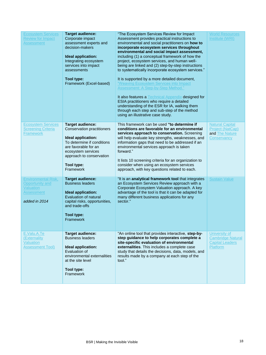| <b>Ecosystem Services</b><br><b>Review for Impact</b><br><b>Assessment</b>                              | <b>Target audience:</b><br>Corporate impact<br>assessment experts and<br>decision-makers<br><b>Ideal application:</b><br>Integrating ecosystem<br>services into impact<br>assessments<br>Tool type:<br>Framework (Excel-based) | "The Ecosystem Services Review for Impact<br>Assessment provides practical instructions to<br>environmental and social practitioners on how to<br>incorporate ecosystem services throughout<br>environmental and social impact assessment,<br>including (1) a conceptual framework of how the<br>project, ecosystem services, and human well-<br>being are linked and (2) step-by-step instructions<br>to systematically incorporate ecosystem services."<br>It is supported by a more detailed document,<br>"Weaving Ecosystem Services into Impact<br>Assessment: A Step-by-Step Method."<br>It also features a Technical Appendix designed for<br>ESIA practitioners who require a detailed<br>understanding of the ESR for IA, walking them<br>through each step and sub-step of the method<br>using an illustrative case study. | <b>World Resources</b><br>Institute (WRI)                                       |
|---------------------------------------------------------------------------------------------------------|--------------------------------------------------------------------------------------------------------------------------------------------------------------------------------------------------------------------------------|--------------------------------------------------------------------------------------------------------------------------------------------------------------------------------------------------------------------------------------------------------------------------------------------------------------------------------------------------------------------------------------------------------------------------------------------------------------------------------------------------------------------------------------------------------------------------------------------------------------------------------------------------------------------------------------------------------------------------------------------------------------------------------------------------------------------------------------|---------------------------------------------------------------------------------|
| <b>Ecosystem Services</b><br><b>Screening Criteria</b><br>Framework                                     | <b>Target audience:</b><br><b>Conservation practitioners</b><br>Ideal application:<br>To determine if conditions<br>are favorable for an<br>ecosystem services<br>approach to conservation<br>Tool type:<br>Framework          | This framework can be used "to determine if<br>conditions are favorable for an environmental<br>services approach to conservation. Screening<br>will help evaluate key strengths, weaknesses, and<br>information gaps that need to be addressed if an<br>environmental services approach is taken<br>forward."<br>It lists 10 screening criteria for an organization to<br>consider when using an ecosystem services<br>approach, with key questions related to each.                                                                                                                                                                                                                                                                                                                                                                | <b>Natural Capital</b><br>Project (NatCap)<br>and The Nature<br>Conservancy     |
| <b>Environmental Risk,</b><br>Opportunity and<br><b>Valuation</b><br><b>Assessment</b><br>added in 2014 | <b>Target audience:</b><br><b>Business leaders</b><br>Ideal application:<br>Evaluation of natural<br>capital risks, opportunities,<br>and trade-offs<br>Tool type:<br>Framework                                                | "It is an analytical framework tool that integrates<br>an Ecosystem Services Review approach with a<br>Corporate Ecosystem Valuation approach. A key<br>advantage of the tool is that it can be adapted for<br>many different business applications for any<br>sector."                                                                                                                                                                                                                                                                                                                                                                                                                                                                                                                                                              | <b>Sustain Value</b>                                                            |
| E.Valu.A.Te<br>(Externality<br>Valuation<br><b>Assessment Tool)</b>                                     | <b>Target audience:</b><br><b>Business leaders</b><br>Ideal application:<br>Evaluation of<br>environmental externalities<br>at the site level<br>Tool type:<br>Framework                                                       | "An online tool that provides interactive, step-by-<br>step guidance to help corporates complete a<br>site-specific evaluation of environmental<br>externalities. This includes a complete case<br>study that details the decisions, data, models, and<br>results made by a company at each step of the<br>tool."                                                                                                                                                                                                                                                                                                                                                                                                                                                                                                                    | University of<br><b>Cambridge Natural</b><br><b>Capital Leaders</b><br>Platform |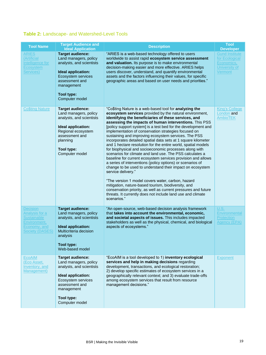### **Table 2:** Landscape- and Watershed-Level Tools

| <b>Tool Name</b>                                                                                           | <b>Target Audience and</b><br><b>Ideal Application</b>                                                                                                                                   | <b>Description</b>                                                                                                                                                                                                                                                                                                                                                                                                                                                                                                                                                                                                                                                                                                                                                                                                                                                                                                                                                                                                                                                                                                                                        | <b>Tool</b><br><b>Developer</b>                                                   |
|------------------------------------------------------------------------------------------------------------|------------------------------------------------------------------------------------------------------------------------------------------------------------------------------------------|-----------------------------------------------------------------------------------------------------------------------------------------------------------------------------------------------------------------------------------------------------------------------------------------------------------------------------------------------------------------------------------------------------------------------------------------------------------------------------------------------------------------------------------------------------------------------------------------------------------------------------------------------------------------------------------------------------------------------------------------------------------------------------------------------------------------------------------------------------------------------------------------------------------------------------------------------------------------------------------------------------------------------------------------------------------------------------------------------------------------------------------------------------------|-----------------------------------------------------------------------------------|
| <b>ARIES</b><br>(Artificial<br>Intelligence for<br><b>Ecosystem</b><br>Services)                           | <b>Target audience:</b><br>Land managers, policy<br>analysts, and scientists<br>Ideal application:<br>Ecosystem services<br>assessment and<br>management<br>Tool type:<br>Computer model | "ARIES is a web-based technology offered to users<br>worldwide to assist rapid ecosystem service assessment<br>and valuation. Its purpose is to make environmental<br>decision-making easier and more effective. ARIES helps<br>users discover, understand, and quantify environmental<br>assets and the factors influencing their values, for specific<br>geographic areas and based on user needs and priorities."                                                                                                                                                                                                                                                                                                                                                                                                                                                                                                                                                                                                                                                                                                                                      | <b>Gund Institute</b><br>for Ecological<br>Economics,<br>University of<br>Vermont |
| <b>Co\$ting Nature</b>                                                                                     | <b>Target audience:</b><br>Land managers, policy<br>analysts, and scientists<br>Ideal application:<br>Regional ecosystem<br>assessment and<br>planning<br>Tool type:<br>Computer model   | "Co\$ting Nature is a web-based tool for analyzing the<br>ecosystem services provided by the natural environment,<br>identifying the beneficiaries of these services, and<br>assessing the impacts of human interventions. This PSS<br>[policy support system] is a test bed for the development and<br>implementation of conservation strategies focused on<br>sustaining and improving ecosystem services. The PSS<br>incorporates detailed spatial data sets at 1 square kilometer<br>and 1 hectare resolution for the entire world, spatial models<br>for biophysical and socioeconomic processes along with<br>scenarios for climate and land use. The PSS calculates a<br>baseline for current ecosystem services provision and allows<br>a series of interventions (policy options) or scenarios of<br>change to be used to understand their impact on ecosystem<br>service delivery."<br>"The version 1 model covers water, carbon, hazard<br>mitigation, nature-based tourism, biodiversity, and<br>conservation priority, as well as current pressures and future<br>threats. It currently does not include land use and climate<br>scenarios." | <b>King's College</b><br>London and<br><b>AmbioTEK</b>                            |
| Decision<br>Analysis for a<br><b>Sustainable</b><br>Environment,<br>Economy, and<br><b>Society (DASES)</b> | <b>Target audience:</b><br>Land managers, policy<br>analysts, and scientists<br>Ideal application:<br>Multicriteria decision<br>analysis<br>Tool type:<br>Web-based model                | "An open-source, web-based decision analysis framework<br>that takes into account the environmental, economic,<br>and societal aspects of issues. This includes impacted<br>stakeholders as well as the physical, chemical, and biological<br>aspects of ecosystems."                                                                                                                                                                                                                                                                                                                                                                                                                                                                                                                                                                                                                                                                                                                                                                                                                                                                                     | U.S.<br>Environmental<br>Protection<br>Agency (EPA)                               |
| <b>EcoAIM</b><br>(Eco Asset,<br>Inventory, and<br>Management)                                              | <b>Target audience:</b><br>Land managers, policy<br>analysts, and scientists<br>Ideal application:<br>Ecosystem services<br>assessment and<br>management<br>Tool type:<br>Computer model | "EcoAIM is a tool developed to 1) inventory ecological<br>services and help in making decisions regarding<br>development, transactions, and ecological restoration;<br>2) develop specific estimates of ecosystem services in a<br>geographically relevant context; and 3) evaluate trade-offs<br>among ecosystem services that result from resource<br>management decisions."                                                                                                                                                                                                                                                                                                                                                                                                                                                                                                                                                                                                                                                                                                                                                                            | <b>Exponent</b>                                                                   |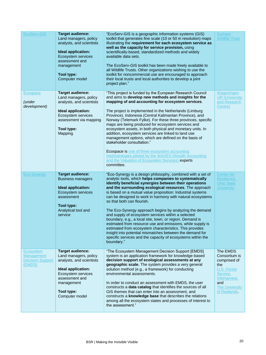| EcoServ-GIS                                                                | <b>Target audience:</b><br>Land managers, policy<br>analysts, and scientists<br>Ideal application:<br>Ecosystem services<br>assessment and<br>management<br>Tool type:<br>Computer model | "EcoServ-GIS is a geographic information systems (GIS)<br>toolkit that generates fine scale (10 or 50 m resolution) maps<br>illustrating the requirement for each ecosystem service as<br>well as the capacity for service provision, using<br>scientifically-based, standardized methods and widely<br>available data sets.<br>The EcoServ-GIS toolkit has been made freely available to<br>all Wildlife Trusts. Other organizations wishing to use the<br>toolkit for noncommercial use are encouraged to approach<br>their local trusts and local authorities to develop a joint<br>project plan."                                                                                                                                                                                                                                               | Durham<br><b>Wildlife Trust</b>                                                                                                             |
|----------------------------------------------------------------------------|------------------------------------------------------------------------------------------------------------------------------------------------------------------------------------------|-----------------------------------------------------------------------------------------------------------------------------------------------------------------------------------------------------------------------------------------------------------------------------------------------------------------------------------------------------------------------------------------------------------------------------------------------------------------------------------------------------------------------------------------------------------------------------------------------------------------------------------------------------------------------------------------------------------------------------------------------------------------------------------------------------------------------------------------------------|---------------------------------------------------------------------------------------------------------------------------------------------|
| Ecospace<br><i>(under</i><br>development)                                  | <b>Target audience:</b><br>Land managers, policy<br>analysts, and scientists<br><b>Ideal application:</b><br>Ecosystem services<br>assessment via mapping<br>Tool type:<br>Mapping       | "This project is funded by the European Research Council<br>and aims to develop new methods and insights for the<br>mapping of and accounting for ecosystem services.<br>The project is implemented in the Netherlands (Limburg<br>Province), Indonesia (Central Kalimantan Province), and<br>Norway (Telemark Fylke). For these three provinces, specific<br>maps are being produced for ecosystem services and<br>ecosystem assets, in both physical and monetary units. In<br>addition, ecosystem services are linked to land use<br>management options, which are defined on the basis of<br>stakeholder consultation."<br>Ecospace is one of three ecosystem accounting<br>methodologies piloted by the WAVES (Wealth Accounting<br>and the Valuation of Ecosystem Services) experts<br>committee.                                             | Wageningen<br><b>UR</b> (University<br>and Research<br>Centre)                                                                              |
| <b>Eco-Synergy</b>                                                         | <b>Target audience:</b><br><b>Business managers</b><br>Ideal application:<br>Ecosystem services<br>assessment<br>Tool type:<br>Analytical tool and<br>service                            | "Eco-Synergy is a design philosophy, combined with a set of<br>analytic tools, which helps companies to systematically<br>identify beneficial synergies between their operations<br>and the surrounding ecological resources. The approach<br>is based on a mutual value proposition: Industrial systems<br>can be designed to work in harmony with natural ecosystems<br>so that both can flourish.<br>The Eco-Synergy approach begins by analyzing the demand<br>and supply of ecosystem services within a selected<br>boundary, e.g., a local site, town, or region. Demand is<br>estimated from resource use and emissions, while supply is<br>estimated from ecosystem characteristics. This provides<br>insight into potential mismatches between the demand for<br>specific services and the capacity of ecosystems within the<br>boundary." | Center for<br>Resilience,<br><b>Ohio State</b><br><b>University</b>                                                                         |
| <b>Ecosystem</b><br><b>Management</b><br><b>Decision Support</b><br>(EMDS) | <b>Target audience:</b><br>Land managers, policy<br>analysts, and scientists<br>Ideal application:<br>Ecosystem services<br>assessment and<br>management<br>Tool type:<br>Computer model | "The Ecosystem Management Decision Support [EMDS]<br>system is an application framework for knowledge-based<br>decision support of ecological assessments at any<br>geographic scale. The system provides a very general<br>solution method (e.g., a framework) for conducting<br>environmental assessments.<br>In order to conduct an assessment with EMDS, the user<br>constructs a data catalog that identifies the sources of all<br>GIS themes that can enter into an assessment, and<br>constructs a knowledge base that describes the relations<br>among all the ecosystem states and processes of interest to                                                                                                                                                                                                                               | The EMDS<br>Consortium is<br>comprised of<br>the<br>U.S. Forest<br>Service,<br>InfoHarvest,<br>and<br><b>The University</b><br>of Redlands. |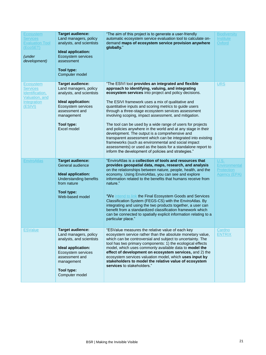| Ecosystem<br><b>Services</b><br><b>Evaluation Tool</b><br>(EcoSET)<br>(under<br>development)       | <b>Target audience:</b><br>Land managers, policy<br>analysts, and scientists<br>Ideal application:<br>Ecosystem services<br>assessment<br>Tool type:<br>Computer model                   | "The aim of this project is to generate a user-friendly<br>automatic ecosystem service evaluation tool to calculate on-<br>demand maps of ecosystem service provision anywhere<br>globally."                                                                                                                                                                                                                                                                                                                                                                                                                                                                                                                                                                                                                                   | <b>Biodiversity</b><br>Institute<br>Oxford                        |
|----------------------------------------------------------------------------------------------------|------------------------------------------------------------------------------------------------------------------------------------------------------------------------------------------|--------------------------------------------------------------------------------------------------------------------------------------------------------------------------------------------------------------------------------------------------------------------------------------------------------------------------------------------------------------------------------------------------------------------------------------------------------------------------------------------------------------------------------------------------------------------------------------------------------------------------------------------------------------------------------------------------------------------------------------------------------------------------------------------------------------------------------|-------------------------------------------------------------------|
| <b>Ecosystem</b><br><b>Services</b><br>Identification,<br>Valuation, and<br>Integration<br>(ESIVI) | <b>Target audience:</b><br>Land managers, policy<br>analysts, and scientists<br>Ideal application:<br>Ecosystem services<br>assessment and<br>management<br>Tool type:<br>Excel model    | "The ESIVI tool provides an integrated and flexible<br>approach to identifying, valuing, and integrating<br>ecosystem services into project and policy decisions.<br>The ESIVI framework uses a mix of qualitative and<br>quantitative inputs and scoring metrics to guide users<br>through a three-stage ecosystem services assessment<br>involving scoping, impact assessment, and mitigation.<br>The tool can be used by a wide range of users for projects<br>and policies anywhere in the world and at any stage in their<br>development. The output is a comprehensive and<br>transparent assessment which can be integrated into existing<br>frameworks (such as environmental and social impact<br>assessments) or used as the basis for a standalone report to<br>inform the development of policies and strategies." | <b>URS</b>                                                        |
| <b>EnviroAtlas</b>                                                                                 | <b>Target audience:</b><br>General audience<br>Ideal application:<br><b>Understanding benefits</b><br>from nature<br>Tool type:<br>Web-based model                                       | "EnviroAtlas is a collection of tools and resources that<br>provides geospatial data, maps, research, and analysis<br>on the relationships between nature, people, health, and the<br>economy. Using EnviroAtlas, you can see and explore<br>information related to the benefits that humans receive from<br>nature."<br>"We intend to link the Final Ecosystem Goods and Services<br>Classification System (FEGS-CS) with the EnviroAtlas. By<br>integrating and using the two products together, a user can<br>benefit from a standardized classification framework which<br>can be connected to spatially explicit information relating to a<br>particular place."                                                                                                                                                          | U.S.<br><b>Environmental</b><br><b>Protection</b><br>Agency (EPA) |
| <b>ESValue</b>                                                                                     | <b>Target audience:</b><br>Land managers, policy<br>analysts, and scientists<br>Ideal application:<br>Ecosystem services<br>assessment and<br>management<br>Tool type:<br>Computer model | "ESValue measures the relative value of each key<br>ecosystem service rather than the absolute monetary value,<br>which can be controversial and subject to uncertainty. The<br>tool has two primary components: 1) the ecological effects<br>model, which uses commonly available data to model the<br>effect of development on ecosystem services, and 2) the<br>ecosystem services valuation model, which uses input by<br>stakeholders to model the relative value of ecosystem<br>services to stakeholders."                                                                                                                                                                                                                                                                                                              | Cardno<br><b>ENTRIX</b>                                           |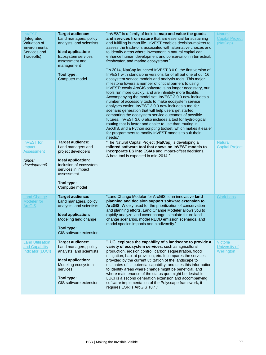| <b>InVEST</b><br>(Integrated<br>Valuation of<br>Environmental<br>Services and<br>Tradeoffs) | <b>Target audience:</b><br>Land managers, policy<br>analysts, and scientists<br><b>Ideal application:</b><br>Ecosystem services<br>assessment and<br>management<br><b>Tool type:</b><br>Computer model | "InVEST is a family of tools to map and value the goods<br>and services from nature that are essential for sustaining<br>and fulfilling human life. In VEST enables decision-makers to<br>assess the trade-offs associated with alternative choices and<br>to identify areas where investment in natural capital can<br>enhance human development and conservation in terrestrial,<br>freshwater, and marine ecosystems."<br>"In 2014, NatCap launched InVEST 3.0.0, the first version of<br>InVEST with standalone versions for of all but one of our 16<br>ecosystem service models and analysis tools. This major<br>milestone lowers a number of critical barriers to using<br>InVEST: costly ArcGIS software is no longer necessary, our<br>tools run more quickly, and are infinitely more flexible.<br>Accompanying the model set, InVEST 3.0.0 now includes a<br>number of accessory tools to make ecosystem service<br>analyses easier. InVEST 3.0.0 now includes a tool for<br>scenario generation that will help users get started<br>comparing the ecosystem service outcomes of possible<br>futures. InVEST 3.0.0 also includes a tool for hydrological<br>routing that is faster and easier to use than routing in<br>ArcGIS, and a Python scripting toolset, which makes it easier<br>for programmers to modify InVEST models to suit their<br>needs." | <b>Natural</b><br><b>Capital Project</b><br>(NatCap)  |
|---------------------------------------------------------------------------------------------|--------------------------------------------------------------------------------------------------------------------------------------------------------------------------------------------------------|-----------------------------------------------------------------------------------------------------------------------------------------------------------------------------------------------------------------------------------------------------------------------------------------------------------------------------------------------------------------------------------------------------------------------------------------------------------------------------------------------------------------------------------------------------------------------------------------------------------------------------------------------------------------------------------------------------------------------------------------------------------------------------------------------------------------------------------------------------------------------------------------------------------------------------------------------------------------------------------------------------------------------------------------------------------------------------------------------------------------------------------------------------------------------------------------------------------------------------------------------------------------------------------------------------------------------------------------------------------------------|-------------------------------------------------------|
| InVEST for<br>Impact<br><b>Assessment</b><br>(under<br>development)                         | <b>Target audience:</b><br>Land managers and<br>project developers<br>Ideal application:<br>Inclusion of ecosystem<br>services in impact<br>assessment<br>Tool type:<br>Computer model                 | "The Natural Capital Project (NatCap) is developing a<br>tailored software tool that draws on InVEST models to<br>incorporate ES into ESIAs and impact-offset decisions.<br>A beta tool is expected in mid-2014."                                                                                                                                                                                                                                                                                                                                                                                                                                                                                                                                                                                                                                                                                                                                                                                                                                                                                                                                                                                                                                                                                                                                                     | <b>Natural</b><br><b>Capital Project</b>              |
| <b>Land Change</b><br><b>Modeler</b> for<br><b>ArcGIS</b>                                   | <b>Target audience:</b><br>Land managers, policy<br>analysts, and scientists<br><b>Ideal application:</b><br>Modeling land change<br><b>Tool type:</b><br><b>GIS software extension</b>                | "Land Change Modeler for ArcGIS is an innovative land<br>planning and decision support software extension to<br>ArcGIS. Widely used for the prioritization of conservation<br>and planning efforts, Land Change Modeler allows you to<br>rapidly analyze land cover change, simulate future land<br>change scenarios, model REDD emission scenarios, and<br>model species impacts and biodiversity."                                                                                                                                                                                                                                                                                                                                                                                                                                                                                                                                                                                                                                                                                                                                                                                                                                                                                                                                                                  | <b>Clark Labs</b>                                     |
| <b>Land Utilisation</b><br>and Capability<br><b>Indicator (LUCI)</b>                        | <b>Target audience:</b><br>Land managers, policy<br>analysts, and scientists<br>Ideal application:<br>Modeling ecosystem<br>services<br>Tool type:<br>GIS software extension                           | "LUCI explores the capability of a landscape to provide a<br>variety of ecosystem services, such as agricultural<br>production, erosion control, carbon sequestration, flood<br>mitigation, habitat provision, etc. It compares the services<br>provided by the current utilization of the landscape to<br>estimates of its potential capability, and uses this information<br>to identify areas where change might be beneficial, and<br>where maintenance of the status quo might be desirable.<br>LUCI is a second generation extension and accompanying<br>software implementation of the Polyscape framework; it<br>requires ESRI's ArcGIS 10.1."                                                                                                                                                                                                                                                                                                                                                                                                                                                                                                                                                                                                                                                                                                                | <b>Victoria</b><br><b>University of</b><br>Wellington |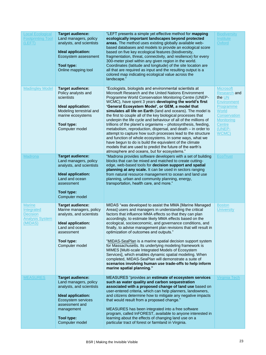| <b>Local Ecological</b><br><b>Footprinting Tool</b><br>(LEFT)                       | <b>Target audience:</b><br>Land managers, policy<br>analysts, and scientists<br>Ideal application:<br>Ecosystem assessment<br>Tool type:<br>Online mapping tool                          | "LEFT presents a simple yet effective method for mapping<br>ecologically important landscapes beyond protected<br>areas. The method uses existing globally available web-<br>based databases and models to provide an ecological score<br>based on five key ecological features (biodiversity,<br>fragmentation, threat, connectivity, and resilience) for every<br>300-meter pixel within any given region in the world.<br>Coordinates (latitude and longitude) of the site location are<br>all that are required as input and the resulting output is a<br>colored map indicating ecological value across the<br>landscape.'                                                                                                                                                                                                                                                                                             | <b>Biodiversity</b><br><b>Institute</b><br>Oxford                                                                                                        |
|-------------------------------------------------------------------------------------|------------------------------------------------------------------------------------------------------------------------------------------------------------------------------------------|-----------------------------------------------------------------------------------------------------------------------------------------------------------------------------------------------------------------------------------------------------------------------------------------------------------------------------------------------------------------------------------------------------------------------------------------------------------------------------------------------------------------------------------------------------------------------------------------------------------------------------------------------------------------------------------------------------------------------------------------------------------------------------------------------------------------------------------------------------------------------------------------------------------------------------|----------------------------------------------------------------------------------------------------------------------------------------------------------|
| <b>Madingley Model</b>                                                              | <b>Target audience:</b><br>Policy analysts and<br>scientists<br>Ideal application:<br>Modeling terrestrial and<br>marine ecosystems<br>Tool type:<br>Computer model                      | "Ecologists, biologists and environmental scientists at<br>Microsoft Research and the United Nations Environment<br>Programme World Conservation Monitoring Centre (UNEP-<br>WCMC), have spent 3 years developing the world's first<br>'General Ecosystem Model', or GEM, a model that<br>simulates all life on Earth (land and oceans). The model is<br>the first to couple all of the key biological processes that<br>underpin the life cycle and behaviour of all of the millions of<br>trillions of the planet's organisms - photosynthesis, feeding,<br>metabolism, reproduction, dispersal, and death - in order to<br>attempt to capture how such processes lead to the structure<br>and function of whole ecosystems. In some ways, what we<br>have begun to do is build the equivalent of the climate<br>models that are used to predict the future of the earth's<br>atmosphere and oceans, but for ecosystems." | <b>Microsoft</b><br>Research and<br>the UN<br><b>Environment</b><br>Programme<br>World<br>Conservation<br><b>Monitoring</b><br>Centre<br>(UNEP-<br>WCMC) |
| <b>Madrona</b>                                                                      | <b>Target audience:</b><br>Land managers, policy<br>analysts, and scientists<br>Ideal application:<br>Land and ocean<br>assessment<br>Tool type:<br>Computer model                       | "Madrona provides software developers with a set of building<br>blocks that can be mixed and matched to create cutting-<br>edge, web-based tools for decision support and spatial<br>planning at any scale. It can be used in sectors ranging<br>from natural resource management to ocean and land use<br>planning, urban and community planning, energy,<br>transportation, health care, and more."                                                                                                                                                                                                                                                                                                                                                                                                                                                                                                                       | <b>EcoTrust</b>                                                                                                                                          |
| <b>Marine</b><br>Integrated<br><b>Decision</b><br><b>Analysis System</b><br>(MIDAS) | Target audience:<br>Marine managers, policy<br>analysts, and scientists<br>Ideal application:<br>Land and ocean<br>assessment<br>Tool type:<br>Computer model                            | MIDAS "was developed to assist the MMA [Marine Managed<br>Areas] users and managers in understanding the critical<br>factors that influence MMA effects so that they can plan<br>accordingly, to estimate likely MMA effects based on the<br>ecological, socioeconomic, and governance conditions, and<br>finally, to advise management plan revisions that will result in<br>optimization of outcomes and outputs."<br>"MIDAS-SeaPlan is a marine spatial decision support system<br>for Massachusetts. Its underlying modeling framework is<br>MIMES [Multi-scale Integrated Models of Ecosystem<br>Services], which enables dynamic spatial modeling. When<br>completed, MIDAS-SeaPlan will demonstrate a suite of<br>scenarios involving human use trade-offs to help inform<br>marine spatial planning."                                                                                                               | <b>Boston</b><br><b>University</b>                                                                                                                       |
| <b>MEASURES</b>                                                                     | <b>Target audience:</b><br>Land managers, policy<br>analysts, and scientists<br>Ideal application:<br>Ecosystem services<br>assessment and<br>management<br>Tool type:<br>Computer model | MEASURES "provides an estimate of ecosystem services<br>such as water quality and carbon sequestration<br>associated with a proposed change of land use based on<br>user-entered criteria, which can help planners, landowners,<br>and citizens determine how to mitigate any negative impacts<br>that would result from a proposed change."<br>MEASURES has been integrated into a free software<br>program, called InFOREST, available to anyone interested in<br>learning about the effects of changing land use on a<br>particular tract of forest or farmland in Virginia.                                                                                                                                                                                                                                                                                                                                             | <b>Virginia Tech</b>                                                                                                                                     |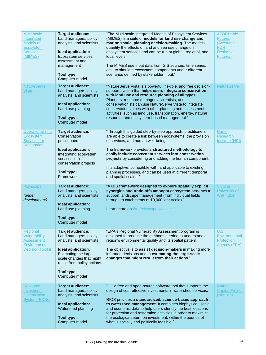| Multi-scale<br>Integrated<br>Models of<br>Ecosystem<br><b>Services</b><br>(MIMES)                 | <b>Target audience:</b><br>Land managers, policy<br>analysts, and scientists<br>Ideal application:<br>Ecosystem services<br>assessment and<br>management<br>Tool type:<br>Computer model                              | "The Multi-scale Integrated Models of Ecosystem Services<br>(MIMES) is a suite of models for land use change and<br>marine spatial planning decision-making. The models<br>quantify the effects of land and sea use change on<br>ecosystem services and can be run at global, regional, and<br>local levels.<br>The MIMES use input data from GIS sources, time series,<br>etc., to simulate ecosystem components under different<br>scenarios defined by stakeholder input."              | <b>AFORDable</b><br><b>Futures</b><br>(Accounting<br><b>FOR</b><br><b>Desirable</b><br>Futures) |
|---------------------------------------------------------------------------------------------------|-----------------------------------------------------------------------------------------------------------------------------------------------------------------------------------------------------------------------|--------------------------------------------------------------------------------------------------------------------------------------------------------------------------------------------------------------------------------------------------------------------------------------------------------------------------------------------------------------------------------------------------------------------------------------------------------------------------------------------|-------------------------------------------------------------------------------------------------|
| <b>NatureServe</b><br><b>Vista</b>                                                                | <b>Target audience:</b><br>Land managers, policy<br>analysts, and scientists<br><b>Ideal application:</b><br>Land use planning<br><b>Tool type:</b><br>Computer model                                                 | "NatureServe Vista is a powerful, flexible, and free decision-<br>support system that helps users integrate conservation<br>with land use and resource planning of all types.<br>Planners, resource managers, scientists, and<br>conservationists can use NatureServe Vista to integrate<br>conservation values with other planning and assessment<br>activities, such as land use, transportation, energy, natural<br>resource, and ecosystem-based management."                          | <b>NatureServe</b>                                                                              |
| Operationalizing<br><b>Ecosystem</b><br>Services for<br><b>Restoration</b>                        | <b>Target audience:</b><br>Conservation<br>practitioners<br>Ideal application:<br>Integrating ecosystem<br>services into<br>conservation projects<br>Tool type:<br>Framework                                          | "Through this guided step-by-step approach, practitioners<br>are able to create a link between ecosystems, the provision<br>of services, and human well-being.<br>The framework provides a structured methodology to<br>easily include ecosystem services into conservation<br>projects by considering and adding the human component.<br>It is adaptive, compatible with, and applicable to existing<br>planning processes, and can be used at different temporal<br>and spatial scales." | <b>Harte</b><br><b>Research</b><br>Institute (HRI)                                              |
|                                                                                                   |                                                                                                                                                                                                                       |                                                                                                                                                                                                                                                                                                                                                                                                                                                                                            |                                                                                                 |
| Polyscape<br><i>(under</i><br>development)                                                        | <b>Target audience:</b><br>Land managers, policy<br>analysts, and scientists<br><b>Ideal application:</b><br>Land use planning<br><b>Tool type:</b><br>Computer model                                                 | "A GIS framework designed to explore spatially explicit<br>synergies and trade-offs amongst ecosystem services to<br>support landscape management (from individual fields<br>through to catchments of 10,000 km <sup>2</sup> scale)."<br><b>Learn more on the Polyscape website.</b>                                                                                                                                                                                                       | Victoria<br>University of<br>Wellington                                                         |
| Regional<br><b>Vulnerability</b><br><b>Assessment</b><br>Environmental<br><b>Decision Toolkit</b> | <b>Target audience:</b><br>Land managers, policy<br>analysts, and scientists<br>Ideal application:<br>Estimating the large-<br>scale changes that might<br>result from policy actions<br>Tool type:<br>Computer model | "EPA's Regional Vulnerability Assessment program is<br>designed to produce the methods needed to understand a<br>region's environmental quality and its spatial pattern.<br>The objective is to assist decision-makers in making more<br>informed decisions and in estimating the large-scale<br>changes that might result from their actions."                                                                                                                                            | U.S.<br>Environmental<br>Protection<br><b>Agency (EPA)</b>                                      |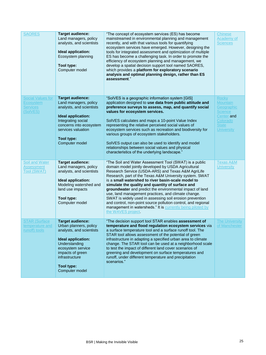| <b>SAORES</b>                                                        | <b>Target audience:</b><br>Land managers, policy<br>analysts, and scientists<br>Ideal application:<br>Ecosystem planning<br>Tool type:<br>Computer model                                                        | "The concept of ecosystem services (ES) has become<br>mainstreamed in environmental planning and management<br>recently, and with that various tools for quantifying<br>ecosystem services have emerged. However, designing the<br>tools for integrated assessment and optimization of multiple<br>ES has become a challenging task. In order to promote the<br>efficiency of ecosystem planning and management, we<br>develop a spatial decision support tool named SAORES,<br>which provides a platform for exploratory scenario<br>analysis and optimal planning design, rather than ES<br>assessment."                                                                    | <b>Chinese</b><br><b>Academy of</b><br><b>Sciences</b>                                                                         |
|----------------------------------------------------------------------|-----------------------------------------------------------------------------------------------------------------------------------------------------------------------------------------------------------------|-------------------------------------------------------------------------------------------------------------------------------------------------------------------------------------------------------------------------------------------------------------------------------------------------------------------------------------------------------------------------------------------------------------------------------------------------------------------------------------------------------------------------------------------------------------------------------------------------------------------------------------------------------------------------------|--------------------------------------------------------------------------------------------------------------------------------|
| <b>Social Values for</b><br>Ecosystem<br><b>Services</b><br>(SolVES) | <b>Target audience:</b><br>Land managers, policy<br>analysts, and scientists<br>Ideal application:<br>Integrating social<br>concerns into ecosystem<br>services valuation<br>Tool type:<br>Computer model       | "SolVES is a geographic information system [GIS]<br>application designed to use data from public attitude and<br>preference surveys to assess, map, and quantify social<br>values for ecosystem services.<br>SolVES calculates and maps a 10-point Value Index<br>representing the relative perceived social values of<br>ecosystem services such as recreation and biodiversity for<br>various groups of ecosystem stakeholders.<br>SolVES output can also be used to identify and model<br>relationships between social values and physical<br>characteristics of the underlying landscape."                                                                                | <b>Rocky</b><br><b>Mountain</b><br>Geographic<br><b>Science</b><br>Center and<br>Colorado<br><b>State</b><br><b>University</b> |
| <b>Soil and Water</b><br><b>Assessment</b><br><b>Tool (SWAT)</b>     | <b>Target audience:</b><br>Land managers, policy<br>analysts, and scientists<br>Ideal application:<br>Modeling watershed and<br>land use impacts<br>Tool type:<br>Computer model                                | "The Soil and Water Assessment Tool (SWAT) is a public<br>domain model jointly developed by USDA Agricultural<br>Research Service (USDA-ARS) and Texas A&M AgriLife<br>Research, part of the Texas A&M University system. SWAT<br>is a small watershed to river basin-scale model to<br>simulate the quality and quantity of surface and<br>groundwater and predict the environmental impact of land<br>use, land management practices, and climate change.<br>SWAT is widely used in assessing soil erosion prevention<br>and control, non-point source pollution control, and regional<br>management in watersheds." It is currently being piloted by<br>the WAVES project. | <b>Texas A&amp;M</b><br><b>University</b>                                                                                      |
| <b>STAR (Surface)</b><br>temperature and<br>runoff) tools            | <b>Target audience:</b><br>Urban planners, policy<br>analysts, and scientists<br>Ideal application:<br>Understanding<br>ecosystem service<br>impacts of green<br>infrastructure<br>Tool type:<br>Computer model | "The decision support tool STAR enables assessment of<br>temperature and flood regulation ecosystem services via<br>a surface temperature tool and a surface runoff tool. The<br>STAR tool allows assessment of the potential of green<br>infrastructure in adapting a specified urban area to climate<br>change. The STAR tool can be used at a neighborhood scale<br>to test the impact of different land cover scenarios of<br>greening and development on surface temperatures and<br>runoff, under different temperature and precipitation<br>scenarios."                                                                                                                | <b>The University</b><br>of Mancheste                                                                                          |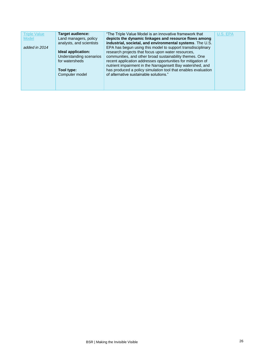| <b>Triple Value</b><br>Model<br>added in 2014 | <b>Target audience:</b><br>Land managers, policy<br>analysts, and scientists<br>Ideal application:<br>Understanding scenarios<br>for watersheds<br>Tool type:<br>Computer model | "The Triple Value Model is an innovative framework that<br>depicts the dynamic linkages and resource flows among<br>industrial, societal, and environmental systems. The U.S.<br>EPA has begun using this model to support transdisciplinary<br>research projects that focus upon water resources,<br>communities, and other broad sustainability themes. One<br>recent application addresses opportunities for mitigation of<br>nutrient impairment in the Narragansett Bay watershed, and<br>has produced a policy simulation tool that enables evaluation<br>of alternative sustainable solutions." | U.S. EPA |
|-----------------------------------------------|---------------------------------------------------------------------------------------------------------------------------------------------------------------------------------|--------------------------------------------------------------------------------------------------------------------------------------------------------------------------------------------------------------------------------------------------------------------------------------------------------------------------------------------------------------------------------------------------------------------------------------------------------------------------------------------------------------------------------------------------------------------------------------------------------|----------|
|                                               |                                                                                                                                                                                 |                                                                                                                                                                                                                                                                                                                                                                                                                                                                                                                                                                                                        |          |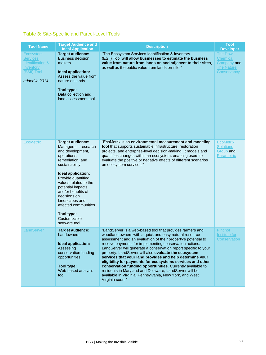# **Table 3:** Site-Specific and Parcel-Level Tools

| <b>Tool Name</b>                                                                                                | <b>Target Audience and</b><br><b>Ideal Application</b>                                                                                                                                                                                                                                                                                            | <b>Description</b>                                                                                                                                                                                                                                                                                                                                                                                                                                                                                                                                                                                                                                                                                          | <b>Tool</b><br><b>Developer</b>                                               |
|-----------------------------------------------------------------------------------------------------------------|---------------------------------------------------------------------------------------------------------------------------------------------------------------------------------------------------------------------------------------------------------------------------------------------------------------------------------------------------|-------------------------------------------------------------------------------------------------------------------------------------------------------------------------------------------------------------------------------------------------------------------------------------------------------------------------------------------------------------------------------------------------------------------------------------------------------------------------------------------------------------------------------------------------------------------------------------------------------------------------------------------------------------------------------------------------------------|-------------------------------------------------------------------------------|
| Ecosystem<br><b>Services</b><br><b>Identification &amp;</b><br><b>Inventory</b><br>(ESII) Tool<br>added in 2014 | <b>Target audience:</b><br><b>Business decision</b><br>makers<br><b>Ideal application:</b><br>Assess the value from<br>nature on lands<br>Tool type:<br>Data collection and<br>land assessment tool                                                                                                                                               | "The Ecosystem Services Identification & Inventory<br>(ESII) Tool will allow businesses to estimate the business<br>value from nature from lands on and adjacent to their sites,<br>as well as the public value from lands on-site."                                                                                                                                                                                                                                                                                                                                                                                                                                                                        | <b>The Dow</b><br>Chemical<br>Company and<br><b>The Nature</b><br>Conservancy |
| <b>EcoMetrix</b>                                                                                                | <b>Target audience:</b><br>Managers in research<br>and development,<br>operations,<br>remediation, and<br>sustainability<br>Ideal application:<br>Provide quantified<br>values related to the<br>potential impacts<br>and/or benefits of<br>decisions on<br>landscapes and<br>affected communities<br>Tool type:<br>Customizable<br>software tool | "EcoMetrix is an environmental measurement and modeling<br>tool that supports sustainable infrastructure, restoration<br>projects, and enterprise-level decision-making. It models and<br>quantifies changes within an ecosystem, enabling users to<br>evaluate the positive or negative effects of different scenarios<br>on ecosystem services."                                                                                                                                                                                                                                                                                                                                                          | <b>EcoMetrix</b><br><b>Solutions</b><br>Group and<br><b>Parametrix</b>        |
| LandServer                                                                                                      | <b>Target audience:</b><br>Landowners<br>Ideal application:<br>Assessing<br>conservation funding<br>opportunities<br>Tool type:<br>Web-based analysis<br>tool                                                                                                                                                                                     | "LandServer is a web-based tool that provides farmers and<br>woodland owners with a quick and easy natural resource<br>assessment and an evaluation of their property's potential to<br>receive payments for implementing conservation actions.<br>LandServer will generate a conservation report specific to your<br>property. LandServer will also evaluate the ecosystem<br>services that your land provides and help determine your<br>eligibility for payments for ecosystems services and other<br>conservation funding opportunities. Currently available to<br>residents in Maryland and Delaware, LandServer will be<br>available in Virginia, Pennsylvania, New York, and West<br>Virginia soon." | Pinchot<br><u>Institute</u> for<br>Conservation                               |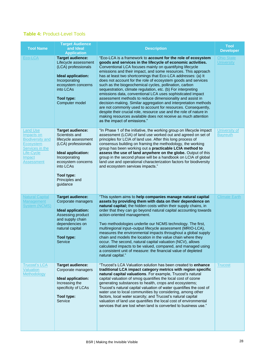#### **Table 4:** Product-Level Tools

| <b>Tool Name</b>                                                                                                                             | <b>Target Audience</b><br>and Ideal<br><b>Application</b>                                                                                                                                                      | <b>Description</b>                                                                                                                                                                                                                                                                                                                                                                                                                                                                                                                                                                                                                                                                                                                                                                                                                                                                                                                                        | <b>Tool</b><br><b>Developer</b>        |
|----------------------------------------------------------------------------------------------------------------------------------------------|----------------------------------------------------------------------------------------------------------------------------------------------------------------------------------------------------------------|-----------------------------------------------------------------------------------------------------------------------------------------------------------------------------------------------------------------------------------------------------------------------------------------------------------------------------------------------------------------------------------------------------------------------------------------------------------------------------------------------------------------------------------------------------------------------------------------------------------------------------------------------------------------------------------------------------------------------------------------------------------------------------------------------------------------------------------------------------------------------------------------------------------------------------------------------------------|----------------------------------------|
| Eco-LCA                                                                                                                                      | <b>Target audience:</b><br>Lifecycle assessment<br>(LCA) professionals<br><b>Ideal application:</b><br>Incorporating<br>ecosystem concerns<br>into LCAs<br>Tool type:<br>Computer model                        | "Eco-LCA is a framework to account for the role of ecosystem<br>goods and services in the lifecycle of economic activities.<br>Conventional LCA focuses mainly on quantifying lifecycle<br>emissions and their impact, and some resources. This approach<br>has at least two shortcomings that Eco-LCA addresses: (a) It<br>does not account for the role of ecosystem goods and services<br>such as the biogeochemical cycles, pollination, carbon<br>sequestration, climate regulation, etc. (b) For interpreting<br>emissions data, conventional LCA uses sophisticated impact<br>assessment methods to reduce dimensionality and assist in<br>decision-making. Similar aggregation and interpretation methods<br>are not commonly used to account for resources. Consequently,<br>despite their crucial role, resource use and the role of nature in<br>making resources available does not receive as much attention<br>as the impact of emissions." | <b>Ohio State</b><br><b>University</b> |
| <b>Land Use</b><br>Impacts on<br><b>Biodiversity and</b><br><b>Ecosystem</b><br>Services in the<br>Life-Cycle<br>Impact<br><b>Assessment</b> | <b>Target audience:</b><br>Scientists and<br>lifecycle assessment<br>(LCA) professionals<br>Ideal application:<br>Incorporating<br>ecosystem concerns<br>into LCAs<br>Tool type:<br>Principles and<br>guidance | "In Phase 1 of the initiative, the working group on lifecycle impact<br>assessment (LCIA) of land use worked out and agreed on set of<br>principles for LCIA of land use. After this long process of<br>consensus building on framing the methodology, the working<br>group has been working out a practicable LCIA method to<br>assess the use of land anywhere on the globe. Output of this<br>group in the second phase will be a handbook on LCIA of global<br>land use and operational characterization factors for biodiversity<br>and ecosystem services impacts."                                                                                                                                                                                                                                                                                                                                                                                 | University of<br><b>Bayreuth</b>       |
| <b>Natural Capital</b><br>Management<br><b>System (NCMS)</b>                                                                                 | <b>Target audience:</b><br>Corporate managers<br>Ideal application:<br>Assessing product<br>and supply chain<br>dependencies on<br>natural capital<br><b>Tool type:</b><br>Service                             | "This system aims to help companies manage natural capital<br>assets by providing them with data on their dependence on<br>natural capital; the hidden costs within their supply chains, in<br>order that they can go beyond natural capital accounting towards<br>action-oriented management.<br>Two methodologies underlie our NCMS technology. The first,<br>multiregional input-output lifecycle assessment (MRIO-LCA),<br>measures the environmental impacts throughout a global supply<br>chain and models the location in the value chain where they<br>occur. The second, natural capital valuation (NCV), allows<br>calculated impacts to be valued, compared, and managed using<br>a consistent unit of measure: the financial value of depleted<br>natural capital."                                                                                                                                                                           | <b>Climate Earth</b>                   |
| Trucosťs LCA<br><b>Valuation</b><br>Methodology                                                                                              | <b>Target audience:</b><br>Corporate managers<br>Ideal application:<br>Increasing the<br>specificity of LCAs<br>Tool type:<br>Service                                                                          | "Trucost's LCA Valuation solution has been created to enhance<br>traditional LCA impact category metrics with region specific<br>natural capital valuations. For example, Trucost's natural<br>capital valuation of smog quantifies the local cost of ozone<br>generating substances to health, crops and ecosystems;<br>Trucost's natural capital valuation of water quantifies the cost of<br>water use to local communities by considering, among other<br>factors, local water scarcity; and Trucost's natural capital<br>valuation of land use quantifies the local cost of environmental<br>services that are lost when land is converted to business use."                                                                                                                                                                                                                                                                                         | <b>Trucost</b>                         |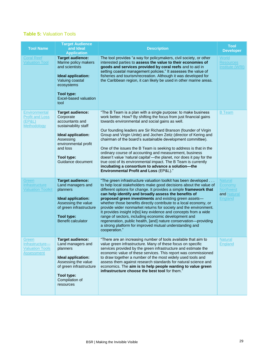#### **Table 5:** Valuation Tools

| <b>Tool Name</b>                                                        | <b>Target Audience</b><br>and Ideal<br><b>Application</b>                                                                                                                                 | <b>Description</b>                                                                                                                                                                                                                                                                                                                                                                                                                                                                                                                                                                                                                                                                                                                                                  | <b>Tool</b><br><b>Developer</b>                                                |
|-------------------------------------------------------------------------|-------------------------------------------------------------------------------------------------------------------------------------------------------------------------------------------|---------------------------------------------------------------------------------------------------------------------------------------------------------------------------------------------------------------------------------------------------------------------------------------------------------------------------------------------------------------------------------------------------------------------------------------------------------------------------------------------------------------------------------------------------------------------------------------------------------------------------------------------------------------------------------------------------------------------------------------------------------------------|--------------------------------------------------------------------------------|
| <b>Coral Reef</b><br><b>Valuation Tool</b>                              | <b>Target audience:</b><br>Marine policy makers<br>and scientists<br><b>Ideal application:</b><br>Valuing coastal<br>ecosystems<br>Tool type:<br>Excel-based valuation<br>tool            | The tool provides "a way for policymakers, civil society, or other<br>interested parties to assess the value to their economies of<br>goods and services provided by coral reefs and to aid in<br>setting coastal management policies." It assesses the value of<br>fisheries and tourism/recreation. Although it was developed for<br>the Caribbean region, it can likely be used in other marine areas.                                                                                                                                                                                                                                                                                                                                                           | World<br><b>Resources</b><br>Institute (WRI)                                   |
| Environmental<br><b>Profit and Loss</b><br>(EPAL)<br>Methodology        | <b>Target audience:</b><br>Corporate<br>accountants and<br>sustainability staff<br>Ideal application:<br>Assessing<br>environmental profit<br>and loss<br>Tool type:<br>Guidance document | "The B Team is a plan with a single purpose: to make business<br>work better. How? By shifting the focus from just financial gains<br>towards environmental and social gains as well.<br>Our founding leaders are Sir Richard Branson (founder of Virgin<br>Group and Virgin Unite) and Jochen Zeitz (director of Kering and<br>chairman of the board's sustainable development committee).<br>One of the issues the B Team is seeking to address is that in the<br>ordinary course of accounting and measurement, business<br>doesn't value 'natural capital'-the planet, nor does it pay for the<br>true cost of its environmental impact. The B Team is currently<br>incubating a consortium to advance a solution-the<br>Environmental Profit and Loss (EP&L)." | <b>B</b> Team                                                                  |
| Green<br>Infrastructure<br><b>Valuation Toolkit</b>                     | <b>Target audience:</b><br>Land managers and<br>planners<br><b>Ideal application:</b><br>Assessing the value<br>of green infrastructure<br><b>Tool type:</b><br><b>Benefit calculator</b> | "The green infrastructure valuation toolkit has been developed<br>to help local stakeholders make good decisions about the value of<br>different options for change. It provides a simple framework that<br>can help identify and broadly assess the benefits of<br>proposed green investments and existing green assets-<br>whether those benefits directly contribute to a local economy, or<br>provide wider nonmarket returns for society and the environment.<br>It provides insight in[to] key evidence and concepts from a wide<br>range of sectors, including economic development and<br>regeneration, public health, [and] nature conservation-providing<br>a strong platform for improved mutual understanding and<br>cooperation."                      | <b>Natural</b><br>Economy<br><b>Northwest</b><br>and Natural<br><b>England</b> |
| Green<br>Infrastructure-<br><b>Valuation Tools</b><br><b>Assessment</b> | <b>Target audience:</b><br>Land managers and<br>planners<br>Ideal application:<br>Assessing the value<br>of green infrastructure<br>Tool type:<br>Compilation of<br>resources             | "There are an increasing number of tools available that aim to<br>value green infrastructure. Many of these focus on specific<br>services provided by the green infrastructure and estimate the<br>economic value of these services. This report was commissioned<br>to draw together a number of the most widely used tools and<br>assess them against research standards for natural science and<br>economics. The aim is to help people wanting to value green<br>infrastructure choose the best tool for them."                                                                                                                                                                                                                                                 | <b>Natural</b><br>England                                                      |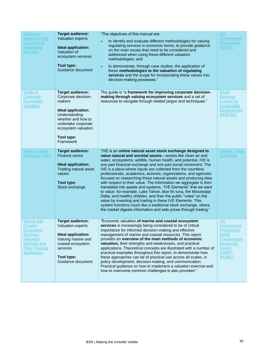| Guidance<br>Manual for the<br><b>Valuation of</b><br><b>Regulating</b><br><b>Services</b>                                   | <b>Target audience:</b><br><b>Valuation experts</b><br>Ideal application:<br>Valuation of<br>ecosystem services<br>Tool type:<br>Guidance document                                             | "The objectives of this manual are:<br>to identify and evaluate different methodologies for valuing<br>$\rightarrow$<br>regulating services in economic terms; to provide guidance<br>on the main issues that need to be considered and<br>addressed when using these different valuation<br>methodologies; and<br>to demonstrate, through case studies, the application of<br>$\rightarrow$<br>these methodologies to the valuation of regulating<br>services and the scope for incorporating these values into<br>decision-making processes."                                                                                                                                                                                                                                                                                                                                                                                                          | <b>UN</b><br><b>Environment</b><br>Programme<br>(UNEP)                                                    |
|-----------------------------------------------------------------------------------------------------------------------------|------------------------------------------------------------------------------------------------------------------------------------------------------------------------------------------------|----------------------------------------------------------------------------------------------------------------------------------------------------------------------------------------------------------------------------------------------------------------------------------------------------------------------------------------------------------------------------------------------------------------------------------------------------------------------------------------------------------------------------------------------------------------------------------------------------------------------------------------------------------------------------------------------------------------------------------------------------------------------------------------------------------------------------------------------------------------------------------------------------------------------------------------------------------|-----------------------------------------------------------------------------------------------------------|
| Guide to<br>Corporate<br>Ecosystem<br><b>Valuation</b>                                                                      | <b>Target audience:</b><br>Corporate decision-<br>makers<br>Ideal application:<br>Understanding<br>whether and how to<br>undertake corporate<br>ecosystem valuation<br>Tool type:<br>Framework | The guide is "a framework for improving corporate decision-<br>making through valuing ecosystem services and a set of<br>resources to navigate through related jargon and techniques."                                                                                                                                                                                                                                                                                                                                                                                                                                                                                                                                                                                                                                                                                                                                                                   | World<br><b>Business</b><br><b>Council for</b><br><b>Sustainable</b><br>Development<br>(WBCSD)            |
| <b>Intrinsic Value</b><br>Exchange (IVE)                                                                                    | <b>Target audience:</b><br>Finance sector<br>Ideal application:<br>Trading natural asset<br>values<br>Tool type:<br>Stock exchange                                                             | "IVE is an online natural asset stock exchange designed to<br>value natural and societal assets-assets like clean air and<br>water, ecosystems, wildlife, human health, and potential. IVE is<br>one part financial exchange and one part social movement. The<br>IVE is a place where inputs are collected from the countless<br>professionals, academics, activists, organizations, and agencies<br>focused on researching these natural assets and producing data<br>with respect to their value. The information we aggregate is then<br>translated into assets and systems, "IVE Elements" that we want<br>to value: for example, Lake Tahoe, blue fin tuna, the Mississippi<br>Delta, and healthy children, and then the public "votes" on the<br>value by investing and trading in these IVE Elements. This<br>system functions much like a traditional stock exchange, where<br>the market digests information and sets prices through trading." | <b>Intrinsic Value</b><br><b>Exchange</b>                                                                 |
| Marine and<br>Coastal<br>Ecosystem<br>Services:<br><b>Valuation</b><br>Methods and<br><b>Their Practical</b><br>Application | <b>Target audience:</b><br>Valuation experts<br>Ideal application:<br>Valuing marine and<br>coastal ecosystem<br>services<br>Tool type:<br>Guidance document                                   | "Economic valuation of marine and coastal ecosystem<br>services is increasingly being considered to be of critical<br>importance for informed decision-making and effective<br>management of marine and coastal resources. This report<br>provides an overview of the main methods of economic<br>valuation, their strengths and weaknesses, and practical<br>applications. Theoretical concepts are illustrated with a number of<br>practical examples throughout this report, to demonstrate how<br>these approaches can be of practical use across all scales, in<br>policy development, decision-making, and communication.<br>Practical guidance on how to implement a valuation exercise and<br>how to overcome common challenges is also provided."                                                                                                                                                                                               | UN<br>Environment<br>Programme<br>World<br>Conservation<br><b>Monitoring</b><br>Centre<br>(UNEP-<br>WCMC) |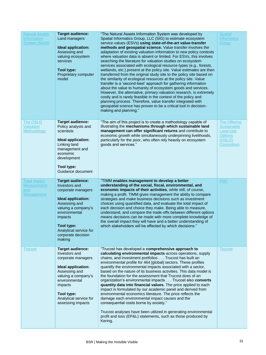| <b>Natural Assets</b><br>Information<br><b>System (NAIS)</b>   | <b>Target audience:</b><br>Land managers<br><b>Ideal application:</b><br>Assessing and<br>valuing ecosystem<br>services<br><b>Tool type:</b><br>Proprietary computer<br>model                                                                  | "The Natural Assets Information System was developed by<br>Spatial Informatics Group, LLC (SIG) to estimate ecosystem<br>service values (ESVs) using state-of-the-art value-transfer<br>methods and geospatial science. Value transfer involves the<br>adaptation of existing valuation information to new policy contexts<br>where valuation data is absent or limited. For ESVs, this involves<br>searching the literature for valuation studies on ecosystem<br>services associated with ecological resource types (e.g., forests,<br>wetlands, etc.) present at the policy site. Value estimates are then<br>transferred from the original study site to the policy site based on<br>the similarity of ecological resources at the policy site. Value<br>transfer is a 'second-best' approach for gathering information<br>about the value to humanity of ecosystem goods and services.<br>However, the alternative, primary valuation research, is extremely<br>costly and is rarely feasible in the context of the policy and<br>planning process. Therefore, value transfer integrated with<br>geospatial science has proven to be a critical tool in decision-<br>making and planning." | <b>Spatial</b><br><b>Informatics</b><br>Group                                                   |
|----------------------------------------------------------------|------------------------------------------------------------------------------------------------------------------------------------------------------------------------------------------------------------------------------------------------|-------------------------------------------------------------------------------------------------------------------------------------------------------------------------------------------------------------------------------------------------------------------------------------------------------------------------------------------------------------------------------------------------------------------------------------------------------------------------------------------------------------------------------------------------------------------------------------------------------------------------------------------------------------------------------------------------------------------------------------------------------------------------------------------------------------------------------------------------------------------------------------------------------------------------------------------------------------------------------------------------------------------------------------------------------------------------------------------------------------------------------------------------------------------------------------------------|-------------------------------------------------------------------------------------------------|
| The OSLO<br>Valuation<br><b>Methodology</b>                    | <b>Target audience:</b><br>Policy analysts and<br>scientists<br>Ideal application:<br>Linking land<br>management and<br>economic<br>development<br>Tool type:<br>Guidance document                                                             | "The aim of this project is to create a methodology capable of<br>illustrating the mechanisms through which sustainable land<br>management can offer significant returns and contribute to<br>economic growth while simultaneously underpinning livelihoods,<br>particularly for the poor, who often rely heavily on ecosystem<br>goods and services."                                                                                                                                                                                                                                                                                                                                                                                                                                                                                                                                                                                                                                                                                                                                                                                                                                          | <b>The Offering</b><br><b>Sustainable</b><br>Land-Use<br><b>Options</b><br>(OSLO)<br>Consortium |
| <b>Total Impact</b><br><b>Measurement</b><br>and<br>Management | <b>Target audience:</b><br>Investors and<br>corporate managers<br><b>Ideal application:</b><br>Assessing and<br>valuing a company's<br>environmental<br>impacts<br><b>Tool type:</b><br>Analytical service for<br>corporate decision<br>making | "TIMM enables management to develop a better<br>understanding of the social, fiscal, environmental, and<br>economic impacts of their activities, while still, of course,<br>making a profit. TIMM gives management the ability to compare<br>strategies and make business decisions such as investment<br>choices using quantified data, and evaluate the total impact of<br>each decision and choice they make. Being able to measure,<br>understand, and compare the trade-offs between different options<br>means decisions can be made with more complete knowledge of<br>the overall impact they will have and a better understanding of<br>which stakeholders will be affected by which decisions."                                                                                                                                                                                                                                                                                                                                                                                                                                                                                       | <b>PwC</b>                                                                                      |
| <b>Trucost</b>                                                 | <b>Target audience:</b><br>Investors and<br>corporate managers<br>Ideal application:<br>Assessing and<br>valuing a company's<br>environmental<br>impacts<br>Tool type:<br>Analytical service for<br>assessing impacts                          | "Trucost has developed a comprehensive approach to<br>calculating environmental impacts across operations, supply<br>chains, and investment portfolios Trucost has built an<br>environmental profile for 464 [global] sectors. These profiles<br>quantify the environmental impacts associated with a sector,<br>based on the nature of its business activities. This data model is<br>the foundation for the assessment that Trucost does of an<br>organization's environmental impacts Trucost also converts<br>quantity data into financial values. The price applied to each<br>impact is formulated by our academic panel and derived from<br>environmental economics literature. The price reflects the<br>damage each environmental impact causes and the<br>consequential costs borne by society."<br>Trucost analyses have been utilized in generating environmental<br>profit and loss (EP&L) statements, such as those produced by<br>Kering.                                                                                                                                                                                                                                        | <b>Trucost</b>                                                                                  |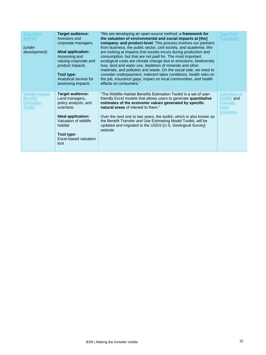| <b>True Price</b><br><b>Method</b><br>(under<br>development)               | <b>Target audience:</b><br>Investors and<br>corporate managers<br>Ideal application:<br>Assessing and<br>valuing corporate and<br>product impacts<br>Tool type:<br>Analytical service for<br>assessing impacts | "We are developing an open-source method: a framework for<br>the valuation of environmental and social impacts at [the]<br>company- and product-level. This process involves our partners<br>from business, the public sector, civil society, and academia. We<br>are looking at impacts that society incurs during production and<br>consumption, but that are not paid for. The most important<br>ecological costs are climate change due to emissions, biodiversity<br>loss, land and water use, depletion of minerals and other<br>materials, and pollution and waste. On the social side, we need to<br>consider underpayment, indecent labor conditions, health risks on<br>the job, insurance gaps, impact on local communities, and health<br>effects on consumers." | <b>True Price</b><br><b>Foundation</b>                                               |
|----------------------------------------------------------------------------|----------------------------------------------------------------------------------------------------------------------------------------------------------------------------------------------------------------|------------------------------------------------------------------------------------------------------------------------------------------------------------------------------------------------------------------------------------------------------------------------------------------------------------------------------------------------------------------------------------------------------------------------------------------------------------------------------------------------------------------------------------------------------------------------------------------------------------------------------------------------------------------------------------------------------------------------------------------------------------------------------|--------------------------------------------------------------------------------------|
| <b>Wildlife Habitat</b><br><b>Benefits</b><br><b>Estimation</b><br>Toolkit | <b>Target audience:</b><br>Land managers,<br>policy analysts, and<br>scientists<br>Ideal application:<br>Valuation of wildlife<br>habitat<br>Tool type:<br>Excel-based valuation<br>tool                       | "The Wildlife Habitat Benefits Estimation Toolkit is a set of user-<br>friendly Excel models that allows users to generate quantitative<br>estimates of the economic values generated by specific<br>natural areas of interest to them."<br>Over the next one to two years, the toolkit, which is also known as<br>the Benefit Transfer and Use Estimating Model Toolkit, will be<br>updated and migrated to the USGS [U.S. Geological Survey]<br>website.                                                                                                                                                                                                                                                                                                                   | Defenders of<br><b>Wildlife and</b><br>Colorado<br><b>State</b><br><b>University</b> |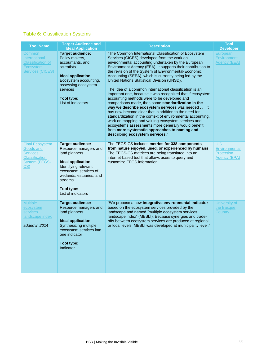### **Table 6:** Classification Systems

| <b>Tool Name</b>                                                                                        | <b>Target Audience and</b><br><b>Ideal Application</b>                                                                                                                                                              | <b>Description</b>                                                                                                                                                                                                                                                                                                                                                                                                                                                                                                                                                                                                                                                                                                                                                                                                                                                                                                                                                                                     | <b>Tool</b><br><b>Developer</b>                            |
|---------------------------------------------------------------------------------------------------------|---------------------------------------------------------------------------------------------------------------------------------------------------------------------------------------------------------------------|--------------------------------------------------------------------------------------------------------------------------------------------------------------------------------------------------------------------------------------------------------------------------------------------------------------------------------------------------------------------------------------------------------------------------------------------------------------------------------------------------------------------------------------------------------------------------------------------------------------------------------------------------------------------------------------------------------------------------------------------------------------------------------------------------------------------------------------------------------------------------------------------------------------------------------------------------------------------------------------------------------|------------------------------------------------------------|
| Common<br><b>International</b><br><b>Classification of</b><br>Ecosystem<br><b>Services (CICES)</b>      | <b>Target audience:</b><br>Policy makers,<br>accountants, and<br>scientists<br>Ideal application:<br>Ecosystem accounting,<br>assessing ecosystem<br>services<br>Tool type:<br>List of indicators                   | "The Common International Classification of Ecosystem<br>Services (CICES) developed from the work on<br>environmental accounting undertaken by the European<br>Environment Agency (EEA). It supports their contribution to<br>the revision of the System of Environmental-Economic<br>Accounting (SEEA), which is currently being led by the<br>United Nations Statistical Division (UNSD).<br>The idea of a common international classification is an<br>important one, because it was recognized that if ecosystem<br>accounting methods were to be developed and<br>comparisons made, then some standardization in the<br>way we describe ecosystem services was needed It<br>has now become clear that in addition to the need for<br>standardization in the context of environmental accounting,<br>work on mapping and valuing ecosystem services and<br>ecosystems assessments more generally would benefit<br>from more systematic approaches to naming and<br>describing ecosystem services." | European<br><b>Environment</b><br><b>Agency (EEA)</b>      |
| <b>Final Ecosystem</b><br>Goods and<br>Services<br><b>Classification</b><br><b>System (FEGS-</b><br>CS) | <b>Target audience:</b><br>Resource managers and<br>land planners<br>Ideal application:<br>Identifying relevant<br>ecosystem services of<br>wetlands, estuaries, and<br>streams<br>Tool type:<br>List of indicators | The FEGS-CS includes metrics for 338 components<br>from nature enjoyed, used, or experienced by humans.<br>The FEGS-CS matrices are being translated into an<br>internet-based tool that allows users to query and<br>customize FEGS information.                                                                                                                                                                                                                                                                                                                                                                                                                                                                                                                                                                                                                                                                                                                                                      | U.S.<br>Environmental<br><b>Protection</b><br>Agency (EPA) |
| <b>Multiple</b><br>ecosystem<br>services<br>landscape index<br>added in 2014                            | <b>Target audience:</b><br>Resource managers and<br>land planners<br>Ideal application:<br>Synthesizing multiple<br>ecosystem services into<br>one indicator<br>Tool type:<br>Indicator                             | "We propose a new integrative environmental indicator<br>based on the ecosystem services provided by the<br>landscape and named "multiple ecosystem services<br>landscape index" (MESLI). Because synergies and trade-<br>offs between ecosystem services are produced at regional<br>or local levels, MESLI was developed at municipality level."                                                                                                                                                                                                                                                                                                                                                                                                                                                                                                                                                                                                                                                     | University of<br>the Basque<br>Country                     |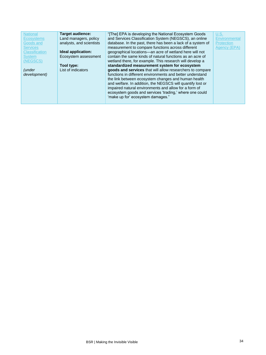| <b>National</b><br><b>Ecosystems</b><br>Goods and<br><b>Services</b><br><b>Classification</b><br><b>System</b><br>(NEGSCS)<br><i>(under</i><br>development) | <b>Target audience:</b><br>Land managers, policy<br>analysts, and scientists<br>Ideal application:<br>Ecosystem assessment<br>Tool type:<br>List of indicators | "[The] EPA is developing the National Ecosystem Goods<br>and Services Classification System (NEGSCS), an online<br>database. In the past, there has been a lack of a system of<br>measurement to compare functions across different<br>geographical locations-an acre of wetland here will not<br>contain the same kinds of natural functions as an acre of<br>wetland there, for example. This research will develop a<br>standardized measurement system for ecosystem<br>goods and services that will allow researchers to compare<br>functions in different environments and better understand<br>the link between ecosystem changes and human health<br>and welfare. In addition, the NEGSCS will quantify lost or<br>impaired natural environments and allow for a form of<br>ecosystem goods and services 'trading,' where one could<br>'make up for' ecosystem damages." | U.S.<br>Environmental<br>Protection<br>Agency (EPA) |
|-------------------------------------------------------------------------------------------------------------------------------------------------------------|----------------------------------------------------------------------------------------------------------------------------------------------------------------|----------------------------------------------------------------------------------------------------------------------------------------------------------------------------------------------------------------------------------------------------------------------------------------------------------------------------------------------------------------------------------------------------------------------------------------------------------------------------------------------------------------------------------------------------------------------------------------------------------------------------------------------------------------------------------------------------------------------------------------------------------------------------------------------------------------------------------------------------------------------------------|-----------------------------------------------------|
|-------------------------------------------------------------------------------------------------------------------------------------------------------------|----------------------------------------------------------------------------------------------------------------------------------------------------------------|----------------------------------------------------------------------------------------------------------------------------------------------------------------------------------------------------------------------------------------------------------------------------------------------------------------------------------------------------------------------------------------------------------------------------------------------------------------------------------------------------------------------------------------------------------------------------------------------------------------------------------------------------------------------------------------------------------------------------------------------------------------------------------------------------------------------------------------------------------------------------------|-----------------------------------------------------|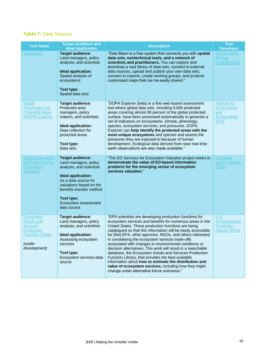### **Table 7:** Data Sources

| <b>Tool Name</b>                                                                                                           | <b>Target Audience and</b><br><b>Ideal Application</b>                                                                                                                                                                                 | <b>Description</b>                                                                                                                                                                                                                                                                                                                                                                                                                                                                                                                                                                                                                                                                                                                                                        | <b>Tool</b><br><b>Developer</b>                                       |
|----------------------------------------------------------------------------------------------------------------------------|----------------------------------------------------------------------------------------------------------------------------------------------------------------------------------------------------------------------------------------|---------------------------------------------------------------------------------------------------------------------------------------------------------------------------------------------------------------------------------------------------------------------------------------------------------------------------------------------------------------------------------------------------------------------------------------------------------------------------------------------------------------------------------------------------------------------------------------------------------------------------------------------------------------------------------------------------------------------------------------------------------------------------|-----------------------------------------------------------------------|
| <b>Data Basin</b>                                                                                                          | <b>Target audience:</b><br>Land managers, policy<br>analysts, and scientists<br><b>Ideal application:</b><br>Spatial analysis of<br>ecosystems<br>Tool type:<br>Spatial data sets                                                      | "Data Basin is a free system that connects you with spatial<br>data sets, nontechnical tools, and a network of<br>scientists and practitioners. You can explore and<br>download a vast library of data sets, connect to external<br>data sources, upload and publish your own data sets,<br>connect to experts, create working groups, and produce<br>customized maps that can be easily shared."                                                                                                                                                                                                                                                                                                                                                                         | Conservation<br><b>Biology</b><br><b>Institute (CBI)</b>              |
| Digital<br>Observatory for<br><b>Protected Areas</b><br>(DOPA) Explorer                                                    | <b>Target audience:</b><br>Protected area<br>managers, policy<br>makers, and scientists<br>Ideal application:<br>Data collection for<br>protected areas<br>Tool type:<br>Data sets                                                     | "DOPA Explorer (beta) is a first web-based assessment<br>tool where global data sets, including 9,000 protected<br>areas covering almost 90 percent of the global protected<br>surface, have been processed automatically to generate a<br>set of indicators on ecosystems, climate, phenology,<br>species, ecosystem services, and pressures. DOPA<br>Explorer can help identify the protected areas with the<br>most unique ecosystems and species and assess the<br>pressures they are exposed to because of human<br>development. Ecological data derived from near real-time<br>earth observations are also made available."                                                                                                                                         | Institute for<br><b>Environment</b><br>and<br>Sustainability<br>(IES) |
| <b>Earth Observation</b><br>(EO) Services for<br><b>Ecosystem</b><br><b>Valuation</b>                                      | <b>Target audience:</b><br>Land managers, policy<br>analysts, and scientists<br>Ideal application:<br>As a data source for<br>valuations based on the<br>benefits-transfer method<br>Tool type:<br>Ecosystem assessment<br>data source | "The EO Services for Ecosystem Valuation project seeks to<br>demonstrate the value of EO-based information<br>products for the emerging sector of ecosystem<br>services valuation."                                                                                                                                                                                                                                                                                                                                                                                                                                                                                                                                                                                       | European<br><b>Space Agency</b><br>(ESA)                              |
| Ecosystem<br>Goods and<br><b>Services</b><br><b>Production</b><br><b>Function Library</b><br><i>(under</i><br>development) | <b>Target audience:</b><br>Land managers, policy<br>analysts, and scientists<br>Ideal application:<br>Assessing ecosystem<br>services<br>Tool type:<br>Ecosystem services data<br>source                                               | "EPA scientists are developing production functions for<br>ecosystem services and benefits for numerous areas in the<br>United States. These production functions are being<br>catalogued so that this information will be easily accessible<br>for [the] EPA, other agencies, NGOs, and others interested<br>in considering the ecosystem services trade-offs<br>associated with changes in environmental conditions or<br>decision alternatives. This work will result in a searchable<br>database, the Ecosystem Goods and Services Production<br>Function Library, that provides the best available<br>information about how to estimate the distribution and<br>value of ecosystem services, including how they might<br>change under alternative future scenarios." | U.S.<br>Environmental<br><b>Protection</b><br>Agency (EPA)            |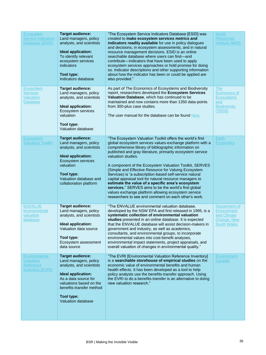| Ecosystem<br><b>Service Indicators</b><br>Database (ESID)                        | <b>Target audience:</b><br>Land managers, policy<br>analysts, and scientists<br>Ideal application:<br>To identify relevant<br>ecosystem services<br>indicators<br>Tool type:<br>Indicators database                   | "The Ecosystem Service Indicators Database [ESID] was<br>created to make ecosystem services metrics and<br>indicators readily available for use in policy dialogues<br>and decisions, in ecosystem assessments, and in natural<br>resource management decisions. ESID is an online<br>searchable database where users can find-and<br>contribute—indicators that have been used to apply<br>ecosystem services approaches or hold promise for doing<br>so. Indicator descriptions and other supporting information<br>about how the indicator has been or could be applied are<br>also provided."                                                                                                                                        | World<br><b>Resources</b><br>Institute (WRI)                                     |
|----------------------------------------------------------------------------------|-----------------------------------------------------------------------------------------------------------------------------------------------------------------------------------------------------------------------|------------------------------------------------------------------------------------------------------------------------------------------------------------------------------------------------------------------------------------------------------------------------------------------------------------------------------------------------------------------------------------------------------------------------------------------------------------------------------------------------------------------------------------------------------------------------------------------------------------------------------------------------------------------------------------------------------------------------------------------|----------------------------------------------------------------------------------|
| <b>Ecosystem</b><br><b>Services</b><br><b>Valuation</b><br><b>Database</b>       | <b>Target audience:</b><br>Land managers, policy<br>analysts, and scientists<br>Ideal application:<br>Ecosystem services<br>valuation<br>Tool type:<br>Valuation database                                             | As part of The Economics of Ecosystems and Biodiversity<br>report, researchers developed the Ecosystem Services<br>Valuation Database, which has continued to be<br>maintained and now contains more than 1350 data-points<br>from 300-plus case studies.<br>The user manual for the database can be found here.                                                                                                                                                                                                                                                                                                                                                                                                                         | The<br>Economics of<br><b>Ecosystems</b><br>and<br><b>Biodiversity</b><br>(TEEB) |
| <b>Ecosystem</b><br><b>Valuation Toolkit</b>                                     | <b>Target audience:</b><br>Land managers, policy<br>analysts, and scientists<br>Ideal application:<br>Ecosystem services<br>valuation<br>Tool type:<br>Valuation database and<br>collaboration platform               | "The Ecosystem Valuation Toolkit offers the world's first<br>global ecosystem services values-exchange platform with a<br>comprehensive library of bibliographic information on<br>published and gray literature, primarily ecosystem service<br>valuation studies.<br>A component of the Ecosystem Valuation Toolkit, SERVES<br>(Simple and Effective Resource for Valuing Ecosystem<br>Services) is "a subscription-based self-service natural<br>capital appraisal tool for natural resource managers to<br>estimate the value of a specific area's ecosystem<br>services." SERVES aims to be the world's first global<br>values exchange platform allowing ecosystem service<br>researchers to see and comment on each other's work. | Earth<br><b>Economics</b>                                                        |
| <b>ENVALUE</b><br>environmental<br>valuation<br>database                         | <b>Target audience:</b><br>Land managers, policy<br>analysts, and scientists<br>Ideal application:<br>Valuation data source<br>Tool type:<br>Ecosystem assessment<br>data source                                      | "The ENVALUE environmental valuation database,<br>developed by the NSW EPA and first released in 1995, is a<br>systematic collection of environmental valuation<br>studies presented in an online database. It is expected<br>that the ENVALUE database will assist decision-makers in<br>government and industry, as well as academics,<br>consultants, and environmental groups, to incorporate<br>environmental values into cost-benefit analyses,<br>environmental impact statements, project appraisals, and<br>overall valuation of changes in environmental quality."                                                                                                                                                             | Department of<br>Environment<br>and Climate<br>Change, New<br><b>South Wales</b> |
| <b>Environmental</b><br><b>Valuation</b><br>Reference<br><b>Inventory (EVRI)</b> | <b>Target audience:</b><br>Land managers, policy<br>analysts, and scientists<br>Ideal application:<br>As a data source for<br>valuations based on the<br>benefits-transfer method<br>Tool type:<br>Valuation database | "The EVRI [Environmental Valuation Reference Inventory]<br>is a searchable storehouse of empirical studies on the<br>economic value of environmental benefits and human<br>health effects. It has been developed as a tool to help<br>policy analysts use the benefits-transfer approach. Using<br>the EVRI to do a benefits-transfer is an alternative to doing<br>new valuation research."                                                                                                                                                                                                                                                                                                                                             | Environment<br>Canada                                                            |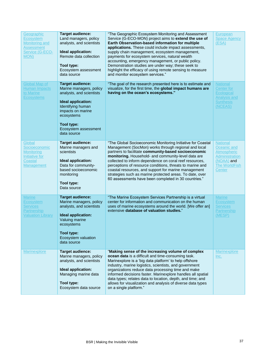| Geographic<br><b>Ecosystem</b><br>Monitoring and<br><b>Assessment</b><br>Service (G-ECO-<br>MON) | <b>Target audience:</b><br>Land managers, policy<br>analysts, and scientists<br>Ideal application:<br>Remote data collection<br>Tool type:<br>Ecosystem assessment<br>data source                                 | "The Geographic Ecosystem Monitoring and Assessment<br>Service (G-ECO-MON) project aims to extend the use of<br>Earth Observation-based information for multiple<br>applications. These could include impact assessments,<br>supply chain management, ecosystem management,<br>payments for ecosystem services, natural wealth<br>accounting, emergency management, or public policy.<br>Demonstration studies are under way; these seek to<br>highlight the efficacy of using remote sensing to measure<br>and monitor ecosystem services." | European<br><b>Space Agency</b><br>(ESA)                                                                        |
|--------------------------------------------------------------------------------------------------|-------------------------------------------------------------------------------------------------------------------------------------------------------------------------------------------------------------------|----------------------------------------------------------------------------------------------------------------------------------------------------------------------------------------------------------------------------------------------------------------------------------------------------------------------------------------------------------------------------------------------------------------------------------------------------------------------------------------------------------------------------------------------|-----------------------------------------------------------------------------------------------------------------|
| <b>Global Map of</b><br><b>Human Impacts</b><br>to Marine<br><b>Ecosystems</b>                   | <b>Target audience:</b><br>Marine managers, policy<br>analysts, and scientists<br>Ideal application:<br>Identifying human<br>impacts on marine<br>ecosystems<br>Tool type:<br>Ecosystem assessment<br>data source | "The goal of the research presented here is to estimate and<br>visualize, for the first time, the global impact humans are<br>having on the ocean's ecosystems."                                                                                                                                                                                                                                                                                                                                                                             | <b>National</b><br><b>Center for</b><br><b>Ecological</b><br><b>Analysis and</b><br><b>Synthesis</b><br>(NCEAS) |
| Global<br>Socioeconomic<br>Monitoring<br>Initiative for<br>Coastal<br><b>Management</b>          | <b>Target audience:</b><br>Marine managers and<br>scientists<br>Ideal application:<br>Data for community-<br>based socioeconomic<br>monitoring<br>Tool type:<br>Data source                                       | "The Global Socioeconomic Monitoring Initiative for Coastal<br>Management (SocMon) works through regional and local<br>partners to facilitate community-based socioeconomic<br>monitoring. Household- and community-level data are<br>collected to inform dependence on coral reef resources,<br>perceptions of resource conditions, threats to marine and<br>coastal resources, and support for marine management<br>strategies such as marine protected areas. To date, over<br>60 assessments have been completed in 30 countries."       | <b>National</b><br>Oceanic and<br>Atmospheric<br>Administration<br>(NOAA) and<br><b>The WorldFish</b><br>Center |
| <b>Marine</b><br>Ecosystem<br><b>Services</b><br>Partnership<br><b>Valuation Library</b>         | <b>Target audience:</b><br>Marine managers, policy<br>analysts, and scientists<br>Ideal application:<br>Valuing marine<br>ecosystems<br>Tool type:<br>Ecosystem valuation<br>data source                          | "The Marine Ecosystem Services Partnership is a virtual<br>center for information and communication on the human<br>uses of marine ecosystems around the world. [We offer an]<br>extensive database of valuation studies."                                                                                                                                                                                                                                                                                                                   | <b>Marine</b><br>Ecosystem<br><b>Services</b><br><b>Partnership</b><br>(MESP)                                   |
| <b>Marinexplore</b>                                                                              | <b>Target audience:</b><br>Marine managers, policy<br>analysts, and scientists<br>Ideal application:<br>Managing marine data<br>Tool type:<br>Ecosystem data source                                               | "Making sense of the increasing volume of complex<br>ocean data is a difficult and time-consuming task.<br>Marinexplore is a 'big data platform' to help offshore<br>industry, marine logistics, scientists, and government<br>organizations reduce data processing time and make<br>informed decisions faster. Marinexplore handles all spatial<br>data types; relates data to location, depth, and time; and<br>allows for visualization and analysis of diverse data types<br>on a single platform."                                      | <b>Marinexplore</b><br>Inc.                                                                                     |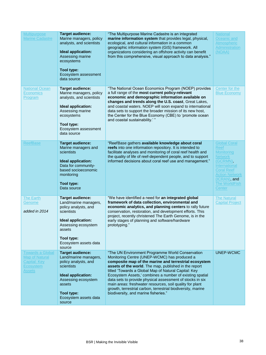| <b>Multipurpose</b><br><b>Marine Cadastre</b>                                                         | <b>Target audience:</b><br>Marine managers, policy<br>analysts, and scientists<br>Ideal application:<br>Assessing marine<br>ecosystems<br><b>Tool type:</b><br>Ecosystem assessment<br>data source | "The Multipurpose Marine Cadastre is an integrated<br>marine information system that provides legal, physical,<br>ecological, and cultural information in a common<br>geographic information system (GIS) framework. All<br>organizations considering an offshore activity can benefit<br>from this comprehensive, visual approach to data analysis."                                                                                                                                                                                                                   | <b>National</b><br>Oceanic and<br>Atmospheric<br>Administration<br>(NOAA)                                                                                                                              |
|-------------------------------------------------------------------------------------------------------|----------------------------------------------------------------------------------------------------------------------------------------------------------------------------------------------------|-------------------------------------------------------------------------------------------------------------------------------------------------------------------------------------------------------------------------------------------------------------------------------------------------------------------------------------------------------------------------------------------------------------------------------------------------------------------------------------------------------------------------------------------------------------------------|--------------------------------------------------------------------------------------------------------------------------------------------------------------------------------------------------------|
| <b>National Ocean</b><br><b>Economics</b><br>Program                                                  | <b>Target audience:</b><br>Marine managers, policy<br>analysts, and scientists<br>Ideal application:<br>Assessing marine<br>ecosystems<br>Tool type:<br>Ecosystem assessment<br>data source        | "The National Ocean Economics Program (NOEP) provides<br>a full range of the most current policy-relevant<br>economic and demographic information available on<br>changes and trends along the U.S. coast, Great Lakes,<br>and coastal waters. NOEP will soon expand to international<br>data sets to support the broader mission of its new host,<br>the Center for the Blue Economy (CBE) to 'promote ocean<br>and coastal sustainability.'"                                                                                                                          | Center for the<br><b>Blue Economy</b>                                                                                                                                                                  |
| <b>ReefBase</b>                                                                                       | <b>Target audience:</b><br>Marine managers and<br>scientists<br>Ideal application:<br>Data for community-<br>based socioeconomic<br>monitoring<br>Tool type:<br>Data source                        | "ReefBase gathers available knowledge about coral<br>reefs into one information repository. It is intended to<br>facilitate analyses and monitoring of coral reef health and<br>the quality of life of reef-dependent people, and to support<br>informed decisions about coral reef use and management."                                                                                                                                                                                                                                                                | <b>Global Coral</b><br><b>Reef</b><br><b>Monitoring</b><br><b>Network</b><br>(GCRMN),<br>International<br><b>Coral Reef</b><br><b>Action Network</b><br>(ICRAN), and<br><b>The WorldFish</b><br>Center |
| <b>The Earth</b><br>Genome<br>added in 2014                                                           | <b>Target audience:</b><br>Land/marine managers,<br>policy analysts, and<br>scientists<br>Ideal application:<br>Assessing ecosystem<br>assets<br>Tool type:<br>Ecosystem assets data<br>source     | "We have identified a need for an integrated global<br>framework of data collection, environmental and<br>economic analytics, and planning centers to rally future<br>conservation, restoration, and development efforts. This<br>project, recently christened The Earth Genome, is in the<br>early stages of planning and software/hardware<br>prototyping."                                                                                                                                                                                                           | <b>The Natural</b><br><b>Capital Project</b>                                                                                                                                                           |
| <b>Towards a Global</b><br><b>Map of Natural</b><br><b>Capital: Key</b><br>Ecosystem<br><b>Assets</b> | <b>Target audience:</b><br>Land/marine managers,<br>policy analysts, and<br>scientists<br>Ideal application:<br>Assessing ecosystem<br>assets<br>Tool type:<br>Ecosystem assets data<br>source     | "The UN Environment Programme World Conservation<br>Monitoring Centre (UNEP-WCMC) has produced a<br>composite map of the marine and terrestrial ecosystem<br>assets of the world. The map, published in the report<br>titled 'Towards a Global Map of Natural Capital: Key<br>Ecosystem Assets,' combines a number of existing spatial<br>data sets to provide physical assessment of stocks in six<br>main areas: freshwater resources, soil quality for plant<br>growth, terrestrial carbon, terrestrial biodiversity, marine<br>biodiversity, and marine fisheries." | UNEP-WCMC                                                                                                                                                                                              |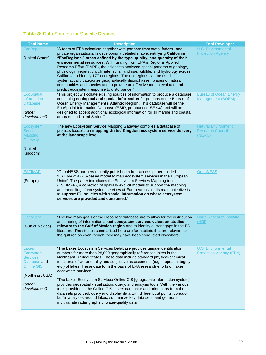### **Table 8:** Data Sources for Specific Regions

| <b>Tool Name</b>                                                                                                        | <b>Description</b>                                                                                                                                                                                                                                                                                                                                                                                                                                                                                                                                                                                                                                                                                                                                                                                                                                                    | <b>Tool Developer</b>                                           |
|-------------------------------------------------------------------------------------------------------------------------|-----------------------------------------------------------------------------------------------------------------------------------------------------------------------------------------------------------------------------------------------------------------------------------------------------------------------------------------------------------------------------------------------------------------------------------------------------------------------------------------------------------------------------------------------------------------------------------------------------------------------------------------------------------------------------------------------------------------------------------------------------------------------------------------------------------------------------------------------------------------------|-----------------------------------------------------------------|
| <b>EcoRegions</b><br>(United States)                                                                                    | "A team of EPA scientists, together with partners from state, federal, and<br>private organizations, is developing a detailed map identifying California<br>"EcoRegions," areas defined by the type, quality, and quantity of their<br>environmental resources. With funding from EPA's Regional Applied<br>Research Effort (RARE), the scientists analyzed spatial patterns of geology,<br>physiology, vegetation, climate, soils, land use, wildlife, and hydrology across<br>California to identify 177 ecoregions. The ecoregions can be used<br>systematically categorize geographically distinct assemblages of natural<br>communities and species and to provide an effective tool to evaluate and<br>predict ecosystem response to disturbance."                                                                                                              | <b>U.S. Environmental</b><br><b>Protection Agency</b>           |
| <b>EcoSpatial</b><br><b>Information</b><br><b>Database</b><br>(under<br>development)                                    | "This project will collate existing sources of information to produce a database<br>containing ecological and spatial information for portions of the Bureau of<br>Ocean Energy Management's Atlantic Region. This database will be the<br>EcoSpatial Information Database (ESID, pronounced EE-sid) and will be<br>designed to accept additional ecological information for all marine and coastal<br>areas of the United States."                                                                                                                                                                                                                                                                                                                                                                                                                                   | <b>Bureau of Ocean Energy</b><br>Management (BOEM)              |
| Ecosystem<br><b>Service</b><br><b>Mapping</b><br>Gateway<br>(United<br>Kingdom)                                         | The new Ecosystem Service Mapping Gateway complies a database of<br>projects focused on mapping United Kingdom ecosystem service delivery<br>at the landscape level.                                                                                                                                                                                                                                                                                                                                                                                                                                                                                                                                                                                                                                                                                                  | <b>Natural Environment</b><br><b>Research Council</b><br>(NERC) |
| <b>ESTIMAP</b><br>(Europe)                                                                                              | "OpenNESS partners recently published a free-access paper entitled<br>'ESTIMAP: a GIS-based model to map ecosystem services in the European<br>Union'. The paper introduces the Ecosystem Services Mapping tool<br>(ESTIMAP), a collection of spatially explicit models to support the mapping<br>and modelling of ecosystem services at European scale. Its main objective is<br>to support EU policies with spatial information on where ecosystem<br>services are provided and consumed."                                                                                                                                                                                                                                                                                                                                                                          | <b>OpenNESS</b>                                                 |
| <b>GecoServ</b><br>(Gulf of Mexico)                                                                                     | "The two main goals of the GecoServ database are to allow for the distribution<br>and sharing of information about ecosystem services valuation studies<br>relevant to the Gulf of Mexico region and to identify current gaps in the ES<br>literature. The studies summarized here are for habitats that are relevant to<br>the gulf region even though they may have been conducted elsewhere."                                                                                                                                                                                                                                                                                                                                                                                                                                                                      | <b>Harte Research Institute</b><br>(HRI)                        |
| Lakes<br>Ecosystem<br><b>Services</b><br>Database and<br><b>Online GIS</b><br>(Northeast USA)<br>(under<br>development) | "The Lakes Ecosystem Services Database provides unique identification<br>numbers for more than 28,000 geographically referenced lakes in the<br>Northeast United States. These data include standard physical-chemical<br>measures of water quality and subjective assessments (e.g., appeal, integrity,<br>etc.) of lakes. These data form the basis of EPA research efforts on lakes<br>ecosystem services."<br>"The Lakes Ecosystem Services Online GIS [geographic information system]<br>provides geospatial visualization, query, and analysis tools. With the various<br>tools provided in the Online GIS, users can make and print maps from the<br>data sets provided, query and display data with different cut points, conduct<br>buffer analyses around lakes, summarize key data sets, and generate<br>multivariate radar graphs of water-quality data." | <b>U.S. Environmental</b><br><b>Protection Agency (EPA)</b>     |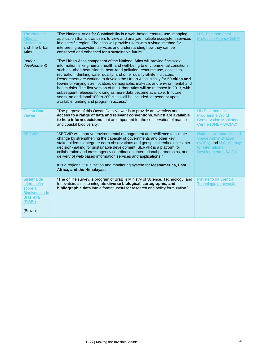| <b>The National</b><br><b>Atlas for</b><br><b>Sustainability</b><br>and The Urban<br><b>Atlas</b><br>(under<br>development) | "The National Atlas for Sustainability is a web-based, easy-to-use, mapping<br>application that allows users to view and analyze multiple ecosystem services<br>in a specific region. The atlas will provide users with a visual method for<br>interpreting ecosystem services and understanding how they can be<br>conserved and enhanced for a sustainable future."<br>"The Urban Atlas component of the National Atlas will provide fine-scale<br>information linking human health and well-being to environmental conditions,<br>such as urban heat islands, near-road pollution, resource use, access to<br>recreation, drinking water quality, and other quality-of-life indicators.<br>Researchers are working to develop the Urban Atlas initially for 50 cities and<br>towns of varying size, location, demographic makeup, and environmental and<br>health risks. The first version of the Urban Atlas will be released in 2013, with<br>subsequent releases following as more data become available. In future<br>years, an additional 100 to 200 cities will be included, dependent upon<br>available funding and program success." | <b>U.S. Environmental</b><br><b>Protection Agency (EPA)</b>                                                                                 |
|-----------------------------------------------------------------------------------------------------------------------------|-------------------------------------------------------------------------------------------------------------------------------------------------------------------------------------------------------------------------------------------------------------------------------------------------------------------------------------------------------------------------------------------------------------------------------------------------------------------------------------------------------------------------------------------------------------------------------------------------------------------------------------------------------------------------------------------------------------------------------------------------------------------------------------------------------------------------------------------------------------------------------------------------------------------------------------------------------------------------------------------------------------------------------------------------------------------------------------------------------------------------------------------------|---------------------------------------------------------------------------------------------------------------------------------------------|
| <b>Ocean Data</b><br><b>Viewer</b>                                                                                          | "The purpose of this Ocean Data Viewer is to provide an overview and<br>access to a range of data and relevant conventions, which are available<br>to help inform decisions that are important for the conservation of marine<br>and coastal biodiversity."                                                                                                                                                                                                                                                                                                                                                                                                                                                                                                                                                                                                                                                                                                                                                                                                                                                                                     | <b>UN Environment</b><br><b>Programme World</b><br><b>Conservation Monitoring</b><br>Centre (UNEP-WCMC)                                     |
| <b>SERVIR</b>                                                                                                               | "SERVIR will improve environmental management and resilience to climate<br>change by strengthening the capacity of governments and other key<br>stakeholders to integrate earth observations and geospatial technologies into<br>decision-making for sustainable development. SERVIR is a platform for<br>collaboration and cross-agency coordination, international partnerships, and<br>delivery of web-based information services and applications."<br>It is a regional visualization and monitoring system for Mesoamerica, East<br>Africa, and the Himalayas.                                                                                                                                                                                                                                                                                                                                                                                                                                                                                                                                                                             | <b>National Aeronautics and</b><br><b>Space Administration</b><br>(NASA) and U.S. Agency<br>for International<br><b>Development (USAID)</b> |
| Sistema de<br>Informação<br>sobre a<br><b>Biodiversidade</b><br><b>Brasileira</b><br>(SiBBr)<br>(Brazil)                    | "The online survey, a program of Brazil's Ministry of Science, Technology, and<br>Innovation, aims to integrate diverse biological, cartographic, and<br>bibliographic data into a format useful for research and policy formulation."                                                                                                                                                                                                                                                                                                                                                                                                                                                                                                                                                                                                                                                                                                                                                                                                                                                                                                          | Ministério da Ciência,<br>Tecnologia e Inovação                                                                                             |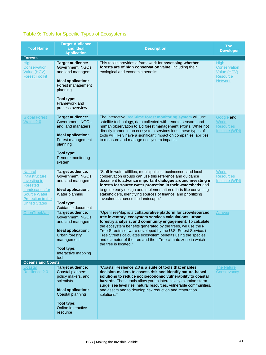# **Table 9:** Tools for Specific Types of Ecosystems

| <b>Tool Name</b><br><b>Forests</b>                                                                                                                  | <b>Target Audience</b><br>and Ideal<br><b>Application</b>                                                                                                                   | <b>Description</b>                                                                                                                                                                                                                                                                                                                                                                                                                                                           | <b>Tool</b><br><b>Developer</b>                                                 |
|-----------------------------------------------------------------------------------------------------------------------------------------------------|-----------------------------------------------------------------------------------------------------------------------------------------------------------------------------|------------------------------------------------------------------------------------------------------------------------------------------------------------------------------------------------------------------------------------------------------------------------------------------------------------------------------------------------------------------------------------------------------------------------------------------------------------------------------|---------------------------------------------------------------------------------|
| High<br>Conservation<br>Value (HCV)<br><b>Forest Toolkit</b>                                                                                        | <b>Target audience:</b><br>Government, NGOs,<br>and land managers<br>Ideal application:<br>Forest management<br>planning<br>Tool type:<br>Framework and<br>process overview | This toolkit provides a framework for assessing whether<br>forests are of high conservation value, including their<br>ecological and economic benefits.                                                                                                                                                                                                                                                                                                                      | High<br><b>Conservation</b><br>Value (HCV)<br><b>Resource</b><br><b>Network</b> |
| <b>Global Forest</b><br>Watch 2.0                                                                                                                   | <b>Target audience:</b><br>Government, NGOs,<br>and land managers<br>Ideal application:<br>Forest management<br>planning<br>Tool type:<br>Remote monitoring<br>system       | The interactive, real-time forest monitoring system will use<br>satellite technology, data collected with remote sensors, and<br>human observation to aid forest management efforts. While not<br>directly framed in an ecosystem services lens, these types of<br>tools will likely have a significant impact on companies' abilities<br>to measure and manage ecosystem impacts.                                                                                           | Google and<br>World<br><b>Resources</b><br>Institute (WRI)                      |
| <b>Natural</b><br>Infrastructure:<br>Investing in<br>Forested<br>Landscapes for<br><b>Source Water</b><br>Protection in the<br><b>United States</b> | <b>Target audience:</b><br>Government, NGOs,<br>and land managers<br>Ideal application:<br>Water planning<br>Tool type:<br>Guidance document                                | "Staff in water utilities, municipalities, businesses, and local<br>conservation groups can use this reference and guidance<br>document to advance important dialogue around investing in<br>forests for source water protection in their watersheds and<br>to guide early design and implementation efforts like convening<br>stakeholders, identifying sources of finance, and prioritizing<br>investments across the landscape."                                          | World<br><b>Resources</b><br><b>Institute (WRI)</b>                             |
| OpenTreeMap                                                                                                                                         | <b>Target audience:</b><br>Government, NGOs,<br>and land managers<br>Ideal application:<br><b>Urban forestry</b><br>management<br>Tool type:<br>Interactive mapping<br>tool | "OpenTreeMap is a collaborative platform for crowdsourced<br>tree inventory, ecosystem services calculations, urban<br>forestry analysis, and community engagement. To calculate<br>the ecosystem benefits generated by the trees, we use the i-<br>Tree Streets software developed by the U.S. Forest Service. i-<br>Tree Streets calculates ecosystem benefits using the species<br>and diameter of the tree and the i-Tree climate zone in which<br>the tree is located." | Azavea                                                                          |
| <b>Oceans and Coasts</b>                                                                                                                            |                                                                                                                                                                             |                                                                                                                                                                                                                                                                                                                                                                                                                                                                              |                                                                                 |
| Coastal<br>Resilience 2.0                                                                                                                           | <b>Target audience:</b><br>Coastal planners,<br>policy makers, and<br>scientists<br>Ideal application:<br>Coastal planning<br>Tool type:<br>Online interactive<br>resource  | "Coastal Resilience 2.0 is a suite of tools that enables<br>decision-makers to assess risk and identify nature-based<br>solutions to reduce socioeconomic vulnerability to coastal<br>hazards. These tools allow you to interactively examine storm<br>surge, sea level rise, natural resources, vulnerable communities,<br>and assets and to develop risk reduction and restoration<br>solutions."                                                                          | <b>The Nature</b><br>Conservancy                                                |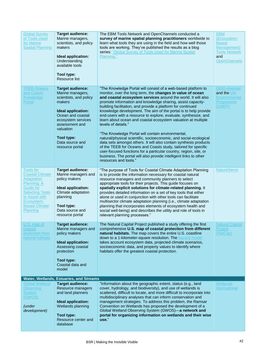| <b>Global Survey</b><br>of Tools Used<br>for Marine<br><b>Spatial Planning</b>                                                                                                            | <b>Target audience:</b><br>Marine managers,<br>scientists, and policy<br>makers<br>Ideal application:<br>Understanding<br>available tools<br>Tool type:<br>Resource list                                                            | The EBM Tools Network and OpenChannels conducted a<br>survey of marine spatial planning practitioners worldwide to<br>learn what tools they are using in the field and how well those<br>tools are working. They've published the results as a blog<br>series: "Global Survey of Tools Used for Marine Spatial<br>Planning."                                                                                                                                                                                                                                                                                                                                                                                                                                                                                                                                                                                                                                                                 | <b>EBM</b><br>(Ecosystem-<br><b>Based</b><br>Management)<br><b>Tools Network</b><br>and<br>OpenChannels |
|-------------------------------------------------------------------------------------------------------------------------------------------------------------------------------------------|-------------------------------------------------------------------------------------------------------------------------------------------------------------------------------------------------------------------------------------|----------------------------------------------------------------------------------------------------------------------------------------------------------------------------------------------------------------------------------------------------------------------------------------------------------------------------------------------------------------------------------------------------------------------------------------------------------------------------------------------------------------------------------------------------------------------------------------------------------------------------------------------------------------------------------------------------------------------------------------------------------------------------------------------------------------------------------------------------------------------------------------------------------------------------------------------------------------------------------------------|---------------------------------------------------------------------------------------------------------|
| <b>TEEB Oceans</b><br>and Coasts<br>Knowledge<br>Portal                                                                                                                                   | <b>Target audience:</b><br>Marine managers,<br>scientists, and policy<br>makers<br>Ideal application:<br>Ocean and coastal<br>ecosystem services<br>assessment and<br>valuation<br>Tool type:<br>Data source and<br>resource portal | "The Knowledge Portal will consist of a web-based platform to<br>monitor, over the long term, the changes in value of ocean<br>and coastal ecosystem services around the world. It will also<br>promote information and knowledge sharing, assist capacity-<br>building facilitation, and provide a platform for continued<br>knowledge development. The aim of the portal is to help provide<br>end-users with a resource to explore, evaluate, synthesize, and<br>learn about ocean and coastal ecosystem valuation at multiple<br>levels of details."<br>"The Knowledge Portal will contain environmental,<br>natural/physical scientific, socioeconomic, and social-ecological<br>data sets amongst others. It will also contain synthesis products<br>of the TEEB for Oceans and Coasts study, tailored for specific<br>user-focused functions for a particular country, region, site, or<br>business. The portal will also provide intelligent links to other<br>resources and tools." | <b>GRID-Arendal</b><br>and the UN<br>Environmental<br>Programme<br>(UNEP)                               |
| Tools for<br><b>Coastal Climate</b><br><b>Adaptation</b><br>Planning: A<br><b>Guide for</b><br><b>Selecting Tools</b><br>to Assist with<br>Ecosystem-<br><b>Based Climate</b><br>Planning | <b>Target audience:</b><br>Marine managers and<br>policy makers<br><b>Ideal application:</b><br>Climate adaptation<br>planning<br>Tool type:<br>Data source and<br>resource portal                                                  | "The purpose of Tools for Coastal Climate Adaptation Planning<br>is to provide the information necessary for coastal natural<br>resource managers and community planners to select<br>appropriate tools for their projects. This guide focuses on<br>spatially explicit solutions for climate-related planning. It<br>provides detailed information on a set of key tools that either<br>alone or used in conjunction with other tools can facilitate<br>multisector climate adaptation planning (i.e., climate adaptation<br>planning that incorporates elements of ecosystem health and<br>social well-being) and describes the utility and role of tools in<br>relevant planning processes."                                                                                                                                                                                                                                                                                              | <b>NatureServe</b>                                                                                      |
| U.S. map of<br>coastal<br>protection from<br>natural habitats                                                                                                                             | <b>Target audience:</b><br>Marine managers and<br>policy makers<br>Ideal application:<br>Assessing coastal<br>protection<br>Tool type:<br>Coastal data and<br>model                                                                 | The Natural Capital Project published a study offering the first<br>comprehensive U.S. map of coastal protection from different<br>natural habitats. The map covers the entire U.S. coastline<br>down to a 1-kilometer-square resolution. The hazard model<br>takes account ecosystem data, projected climate scenarios,<br>socioeconomic data, and property values to identify where<br>habitats offer the greatest coastal protection.                                                                                                                                                                                                                                                                                                                                                                                                                                                                                                                                                     | <b>Natural Capital</b><br><b>Project</b><br>(NatCap)                                                    |
| <b>Global Wetland</b>                                                                                                                                                                     | Water, Wetlands, Estuaries, and Streams<br><b>Target audience:</b>                                                                                                                                                                  | "Information about the geographic extent, status (e.g., land                                                                                                                                                                                                                                                                                                                                                                                                                                                                                                                                                                                                                                                                                                                                                                                                                                                                                                                                 | <b>Wetlands</b>                                                                                         |
| <b>Observing</b><br><b>System</b><br>(GWOS)<br><i>(under</i><br>development)                                                                                                              | Resource managers<br>and land planners<br>Ideal application:<br>Wetlands planning<br>Tool type:<br>Resource center and<br>database                                                                                                  | cover, hydrology, and biodiversity), and use of wetlands is<br>scattered, difficult to locate, and more difficult to incorporate into<br>multidisciplinary analyses that can inform conservation and<br>management strategies. To address this problem, the Ramsar<br>Convention on Wetlands has proposed the development of a<br>Global Wetland Observing System (GWOS)-a network and<br>portal for organizing information on wetlands and their wise<br>use."                                                                                                                                                                                                                                                                                                                                                                                                                                                                                                                              | International                                                                                           |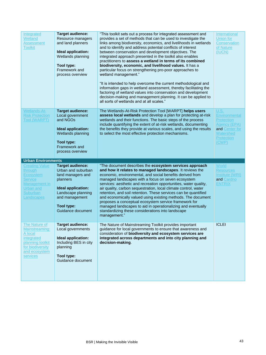| Integrated<br>Wetland<br><b>Assessment</b><br><b>Toolkit</b>                                                                   | <b>Target audience:</b><br>Resource managers<br>and land planners<br>Ideal application:<br>Wetlands planning<br>Tool type:<br>Framework and<br>process overview                 | "This toolkit sets out a process for integrated assessment and<br>provides a set of methods that can be used to investigate the<br>links among biodiversity, economics, and livelihoods in wetlands<br>and to identify and address potential conflicts of interest<br>between conservation and development objectives. The<br>integrated approach presented in the toolkit also enables<br>practitioners to assess a wetland in terms of its combined<br>biodiversity, economic, and livelihood values. It has a<br>particular focus on strengthening pro-poor approaches to<br>wetland management."<br>"It is intended to help overcome the current methodological and<br>information gaps in wetland assessment, thereby facilitating the<br>factoring of wetland values into conservation and development<br>decision-making and management planning. It can be applied to<br>all sorts of wetlands and at all scales." | International<br>Union for<br>Conservation<br>of Nature<br>(IUCN)                                                       |
|--------------------------------------------------------------------------------------------------------------------------------|---------------------------------------------------------------------------------------------------------------------------------------------------------------------------------|----------------------------------------------------------------------------------------------------------------------------------------------------------------------------------------------------------------------------------------------------------------------------------------------------------------------------------------------------------------------------------------------------------------------------------------------------------------------------------------------------------------------------------------------------------------------------------------------------------------------------------------------------------------------------------------------------------------------------------------------------------------------------------------------------------------------------------------------------------------------------------------------------------------------------|-------------------------------------------------------------------------------------------------------------------------|
| <b>Wetlands-At-</b><br><b>Risk Protection</b><br>Tool (WARPT)                                                                  | <b>Target audience:</b><br>Local government<br>and NGOs<br>Ideal application:<br>Wetlands planning<br>Tool type:<br>Framework and<br>process overview                           | The Wetlands-At-Risk Protection Tool [WARPT] helps users<br>assess local wetlands and develop a plan for protecting at-risk<br>wetlands and their functions. The basic steps of the process<br>include quantifying the extent of at-risk wetlands, documenting<br>the benefits they provide at various scales, and using the results<br>to select the most effective protection mechanisms.                                                                                                                                                                                                                                                                                                                                                                                                                                                                                                                                | U.S.<br>Environmental<br><b>Protection</b><br><b>Agency (EPA)</b><br>and Center for<br>Watershed<br>Protection<br>(CWP) |
|                                                                                                                                |                                                                                                                                                                                 |                                                                                                                                                                                                                                                                                                                                                                                                                                                                                                                                                                                                                                                                                                                                                                                                                                                                                                                            |                                                                                                                         |
| <b>Urban Environments</b>                                                                                                      |                                                                                                                                                                                 |                                                                                                                                                                                                                                                                                                                                                                                                                                                                                                                                                                                                                                                                                                                                                                                                                                                                                                                            |                                                                                                                         |
| <b>Creating Value</b><br>through<br>Ecosystem<br><b>Service</b><br>Management in<br><b>Urban and</b><br>Suburban<br>Landscapes | <b>Target audience:</b><br>Urban and suburban<br>land managers and<br>planners<br>Ideal application:<br>Landscape planning<br>and management<br>Tool type:<br>Guidance document | "The document describes the ecosystem services approach<br>and how it relates to managed landscapes. It reviews the<br>economic, environmental, and social benefits derived from<br>managed landscapes with a focus on seven ecosystem<br>services: aesthetic and recreation opportunities, water quality,<br>air quality, carbon sequestration, local climate control, water<br>retention, and soil retention. These services can be quantified<br>and economically valued using existing methods. The document<br>proposes a conceptual ecosystem service framework for<br>managed landscapes to aid in operationalizing and eventually<br>standardizing these considerations into landscape<br>management."<br>The Nature of Mainstreaming Toolkit provides important                                                                                                                                                   | World<br><b>Resources</b><br>Institute (WRI)<br>and Cardno<br><b>ENTRIX</b>                                             |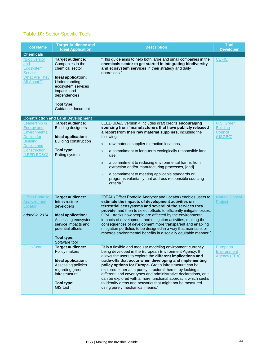### **Table 10:** Sector-Specific Tools

| <b>Tool Name</b>                                                                                                                         | <b>Target Audience and</b><br><b>Ideal Application</b>                                                                                                                                        | <b>Description</b>                                                                                                                                                                                                                                                                                                                                                                                                                                                                                                                                                                                           | <b>Tool</b><br><b>Developer</b>                     |
|------------------------------------------------------------------------------------------------------------------------------------------|-----------------------------------------------------------------------------------------------------------------------------------------------------------------------------------------------|--------------------------------------------------------------------------------------------------------------------------------------------------------------------------------------------------------------------------------------------------------------------------------------------------------------------------------------------------------------------------------------------------------------------------------------------------------------------------------------------------------------------------------------------------------------------------------------------------------------|-----------------------------------------------------|
| <b>Chemicals</b>                                                                                                                         |                                                                                                                                                                                               |                                                                                                                                                                                                                                                                                                                                                                                                                                                                                                                                                                                                              |                                                     |
| "Biodiversity<br>and<br><u>Ecosystem</u><br>Services:<br><b>What Are They</b><br>All About?"                                             | <b>Target audience:</b><br>Companies in the<br>chemical sector<br>Ideal application:<br>Understanding<br>ecosystem services<br>impacts and<br>dependencies<br>Tool type:<br>Guidance document | "This guide aims to help both large and small companies in the<br>chemicals sector to get started in integrating biodiversity<br>and ecosystem services in their strategy and daily<br>operations."                                                                                                                                                                                                                                                                                                                                                                                                          | <b>CEFIC</b>                                        |
|                                                                                                                                          | <b>Construction and Land Development</b>                                                                                                                                                      |                                                                                                                                                                                                                                                                                                                                                                                                                                                                                                                                                                                                              |                                                     |
| Leadership in<br><b>Energy and</b><br>Environmental<br>Design for<br><b>Building</b><br>Design and<br><b>Construction</b><br>(LEED BD&C) | <b>Target audience:</b><br><b>Building designers</b><br>Ideal application:<br><b>Building construction</b><br>Tool type:<br>Rating system                                                     | LEED BD&C version 4 includes draft credits encouraging<br>sourcing from "manufacturers that have publicly released<br>a report from their raw material suppliers, including the<br>following:<br>raw material supplier extraction locations,<br>$\rightarrow$<br>a commitment to long-term ecologically responsible land<br>$\gg$<br>use,<br>a commitment to reducing environmental harms from<br>$\gg$<br>extraction and/or manufacturing processes, [and]<br>a commitment to meeting applicable standards or<br>$\gg$<br>programs voluntarily that address responsible sourcing<br>criteria."              | U.S. Green<br><b>Building</b><br>Council<br>(USGBC) |
| <b>Offset Portfolio</b><br><b>Analyzer and</b><br>Locator<br>added in 2014                                                               | <b>Target audience:</b><br>Infrastructure<br>developers<br><b>Ideal application:</b><br>Assessing ecosystem<br>service impacts and<br>potential offsets<br><b>Tool type:</b><br>Software tool | "OPAL (Offset Portfolio Analyzer and Locator) enables users to<br>estimate the impacts of development activities on<br>terrestrial ecosystems and several of the services they<br>provide, and then to select offsets to efficiently mitigate losses.<br>OPAL tracks how people are affected by the environmental<br>impacts of development and mitigation activities, making the<br>consequences of development more transparent and enabling<br>mitigation portfolios to be designed in a way that maintains or<br>restores environmental benefits in a socially equitable manner."                        | <b>Natural Capital</b><br>Project                   |
| <b>QuickScan</b>                                                                                                                         | <b>Target audience:</b><br>Policy makers<br>Ideal application:<br>Assessing policies<br>regarding green<br>infrastructure<br>Tool type:<br><b>GIS tool</b>                                    | "It is a flexible and modular modeling environment currently<br>being developed in the European Environment Agency. It<br>allows the users to explore the different implications and<br>trade-offs that occur when developing and implementing<br>policy options for Europe. Green infrastructure can be<br>explored either as a purely structural theme, by looking at<br>different land cover types and administrative declarations, or it<br>can be explored with a more functional approach, which seeks<br>to identify areas and networks that might not be measured<br>using purely mechanical means." | European<br>Environment<br>Agency (EEA)             |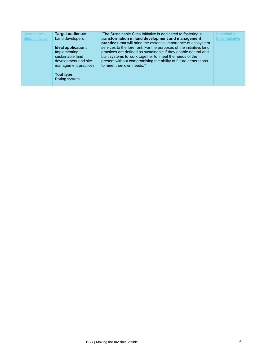| <b>Target audience:</b><br><b>Sustainable</b><br><b>Sites Initiative</b><br>Land developers<br>Ideal application:<br>Implementing<br>sustainable land<br>development and site<br>management practices<br>Tool type:<br>Rating system | "The Sustainable Sites Initiative is dedicated to fostering a<br>transformation in land development and management<br>practices that will bring the essential importance of ecosystem<br>services to the forefront. For the purposes of the initiative, land<br>practices are defined as sustainable if they enable natural and<br>built systems to work together to 'meet the needs of the<br>present without compromising the ability of future generations<br>to meet their own needs." | Sustainable<br><b>Sites Initiative</b> |
|--------------------------------------------------------------------------------------------------------------------------------------------------------------------------------------------------------------------------------------|--------------------------------------------------------------------------------------------------------------------------------------------------------------------------------------------------------------------------------------------------------------------------------------------------------------------------------------------------------------------------------------------------------------------------------------------------------------------------------------------|----------------------------------------|
|--------------------------------------------------------------------------------------------------------------------------------------------------------------------------------------------------------------------------------------|--------------------------------------------------------------------------------------------------------------------------------------------------------------------------------------------------------------------------------------------------------------------------------------------------------------------------------------------------------------------------------------------------------------------------------------------------------------------------------------------|----------------------------------------|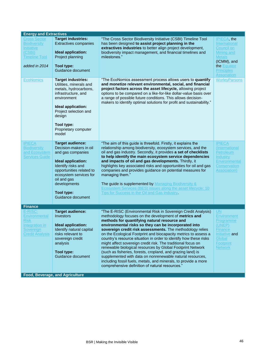| <b>Energy and Extractives</b>                                                                                      |                                                                                                                                                                                                                                                   |                                                                                                                                                                                                                                                                                                                                                                                                                                                                                                                                                                                                                                                                                                                                                                                                                     |                                                                                                                                                     |  |
|--------------------------------------------------------------------------------------------------------------------|---------------------------------------------------------------------------------------------------------------------------------------------------------------------------------------------------------------------------------------------------|---------------------------------------------------------------------------------------------------------------------------------------------------------------------------------------------------------------------------------------------------------------------------------------------------------------------------------------------------------------------------------------------------------------------------------------------------------------------------------------------------------------------------------------------------------------------------------------------------------------------------------------------------------------------------------------------------------------------------------------------------------------------------------------------------------------------|-----------------------------------------------------------------------------------------------------------------------------------------------------|--|
| <b>Cross Sector</b><br><b>Biodiversity</b><br><u>Initiative</u><br>(CSBI)<br><b>Timeline Tool</b><br>added in 2014 | <b>Target industries:</b><br><b>Extractives companies</b><br>Ideal application:<br>Project planning<br><b>Tool type:</b><br>Guidance document                                                                                                     | "The Cross Sector Biodiversity Initiative (CSBI) Timeline Tool<br>has been designed to assist project planning in the<br>extractives industries to better align project development,<br>biodiversity impact management, and financial timelines and<br>milestones."                                                                                                                                                                                                                                                                                                                                                                                                                                                                                                                                                 | <b>IPIECA</b> , the<br>International<br>Council on<br>Mining and<br><b>Metals</b><br>(ICMM), and<br>the Equator<br><b>Principles</b><br>Association |  |
| <b>EcoNomics</b>                                                                                                   | <b>Target industries:</b><br>Utilities, minerals and<br>metals, hydrocarbons,<br>infrastructure, and<br>environment<br>Ideal application:<br>Project selection and<br>design<br>Tool type:<br>Proprietary computer<br>model                       | "The EcoNomics assessment process allows users to quantify<br>and monetize relevant environmental, social, and financial<br>project factors across the asset lifecycle, allowing project<br>options to be compared on a like-for-like dollar-value basis over<br>a range of possible future conditions. This allows decision-<br>makers to identify optimal solutions for profit and sustainability."                                                                                                                                                                                                                                                                                                                                                                                                               | <b>WorleyParsons</b>                                                                                                                                |  |
| <b>IPIECA</b><br><b>Biodiversity</b><br>and Ecosystem<br><b>Services Guide</b>                                     | <b>Target audience:</b><br>Decision-makers in oil<br>and gas companies<br>Ideal application:<br>Identify risks and<br>opportunities related to<br>ecosystem services for<br>oil and gas<br>developments<br><b>Tool type:</b><br>Guidance document | "The aim of this guide is threefold. Firstly, it explains the<br>relationship among biodiversity, ecosystem services, and the<br>oil and gas industry. Secondly, it provides a set of checklists<br>to help identify the main ecosystem service dependencies<br>and impacts of oil and gas developments. Thirdly, it<br>highlights key associated risks and opportunities for oil and gas<br>companies and provides guidance on potential measures for<br>managing them."<br>The guide is supplemented by Managing Biodiversity &<br>Ecosystem Services (BES) issues along the asset lifecycle: 10<br>Tips for Success in the Oil and Gas Industry.                                                                                                                                                                 | <b>IPIECA</b><br>(International<br>Petroleum<br>Industry<br>Environmental<br>Conservation<br>Association)                                           |  |
| <b>Finance</b>                                                                                                     |                                                                                                                                                                                                                                                   |                                                                                                                                                                                                                                                                                                                                                                                                                                                                                                                                                                                                                                                                                                                                                                                                                     |                                                                                                                                                     |  |
| E-RISC:<br><b>Environmental</b><br><b>Risk</b><br>Integration in<br>Sovereign<br><b>Credit Analysis</b>            | <b>Target audience:</b><br><b>Investors</b><br>Ideal application:<br>Identify natural capital<br>risks relevant to<br>sovereign credit<br>analysis<br><b>Tool type:</b><br>Guidance document                                                      | "The E-RISC (Environmental Risk in Sovereign Credit Analysis)<br>methodology focuses on the development of metrics and<br>methods for quantifying natural resource and<br>environmental risks so they can be incorporated into<br>sovereign credit risk assessments. The methodology relies<br>on the Ecological Footprint and biocapacity metrics to assess a<br>country's resource situation in order to identify how these risks<br>might affect sovereign credit risk. The traditional focus on<br>renewable biological resources by Global Footprint Network<br>(such as fisheries, forests, cropland, and grazing land) is<br>supplemented with data on nonrenewable natural resources,<br>including fossil fuels, metals, and minerals, to provide a more<br>comprehensive definition of natural resources." | UN<br><b>Environment</b><br>Programme<br>(UNEP)<br>Finance<br>Initiative and<br>Global<br>Footprint<br><b>Network</b>                               |  |
|                                                                                                                    | Food, Beverage, and Agriculture                                                                                                                                                                                                                   |                                                                                                                                                                                                                                                                                                                                                                                                                                                                                                                                                                                                                                                                                                                                                                                                                     |                                                                                                                                                     |  |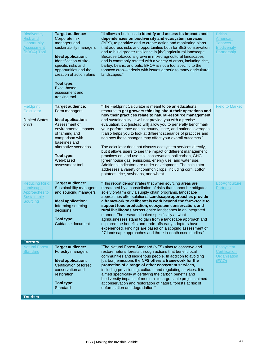| <b>Biodiversity</b><br><b>Risk and</b><br><b>Opportunity</b><br><b>Assessment</b><br>(BROA) Tool    | <b>Target audience:</b><br>Corporate risk<br>managers and<br>sustainability managers<br>Ideal application:<br>Identification of site-<br>specific risks and<br>opportunities and the<br>creation of action plans<br>Tool type:<br>Excel-based<br>assessment and<br>tracking tool | "It allows a business to identify and assess its impacts and<br>dependencies on biodiversity and ecosystem services<br>(BES), to prioritize and to create action and monitoring plans<br>that address risks and opportunities both for BES conservation<br>and to build greater resilience in [the] agricultural landscape.<br>Because tobacco is grown in mixed agricultural landscapes<br>and is commonly rotated with a variety of crops, including rice,<br>barley, beans, and oats, BROA is not a tool specific to the<br>tobacco crop-it deals with issues generic to many agricultural<br>landscapes."                                                                                                                                                                                                                                                                                                                                            | <b>British</b><br>American<br>Tobacco<br><b>Biodiversity</b><br>Partnership |
|-----------------------------------------------------------------------------------------------------|----------------------------------------------------------------------------------------------------------------------------------------------------------------------------------------------------------------------------------------------------------------------------------|----------------------------------------------------------------------------------------------------------------------------------------------------------------------------------------------------------------------------------------------------------------------------------------------------------------------------------------------------------------------------------------------------------------------------------------------------------------------------------------------------------------------------------------------------------------------------------------------------------------------------------------------------------------------------------------------------------------------------------------------------------------------------------------------------------------------------------------------------------------------------------------------------------------------------------------------------------|-----------------------------------------------------------------------------|
| <b>Fieldprint</b><br>Calculator<br>(United States<br>only)                                          | <b>Target audience:</b><br>Farm managers<br>Ideal application:<br>Assessment of<br>environmental impacts<br>of farming and<br>comparison with<br>baselines and<br>alternative scenarios<br>Tool type:<br>Web-based<br>assessment tool                                            | "The Fieldprint Calculator is meant to be an educational<br>resource to get growers thinking about their operations and<br>how their practices relate to natural-resource management<br>and sustainability. It will not provide you with a precise<br>evaluation, but [instead will] allow you to generally benchmark<br>your performance against county, state, and national averages.<br>It also helps you to look at different scenarios of practices and<br>see how those changes may affect your overall outcomes."<br>The calculator does not discuss ecosystem services directly,<br>but it allows users to see the impact of different management<br>practices on land use, soil conservation, soil carbon, GHG<br>[greenhouse gas] emissions, energy use, and water use.<br>Additional indicators are under development. The calculator<br>addresses a variety of common crops, including corn, cotton,<br>potatoes, rice, soybeans, and wheat. | <b>Field to Market</b>                                                      |
| <b>Reducing Risk:</b><br>Landscape<br><b>Approaches to</b><br><b>Sustainable</b><br><b>Sourcing</b> | <b>Target audience:</b><br>Sustainability managers<br>and sourcing managers<br>Ideal application:<br>Informing sourcing<br>decisions<br>Tool type:<br>Guidance document                                                                                                          | "This report demonstrates that when sourcing areas are<br>threatened by a constellation of risks that cannot be mitigated<br>solely on-farm or via supply chain programs, landscape<br>approaches offer solutions. Landscape approaches provide<br>a framework to deliberately work beyond the farm-scale to<br>support food production, ecosystem conservation, and<br>rural livelihoods across entire landscapes in an integrated<br>manner. The research looked specifically at what<br>agribusinesses stand to gain from a landscape approach and<br>explored the benefits and trade-offs early adopters have<br>experienced. Findings are based on a scoping assessment of<br>27 landscape approaches and three in-depth case studies."                                                                                                                                                                                                             | <b>EcoAgriculture</b><br><b>Partners</b>                                    |
| <b>Forestry</b><br><b>Natural Forest</b><br><b>Standard</b>                                         | <b>Target audience:</b><br>Forestry managers<br>Ideal application:<br>Certification of forest<br>conservation and<br>restoration<br>Tool type:<br>Standard                                                                                                                       | "The Natural Forest Standard (NFS) aims to conserve and<br>restore natural forests through actions that benefit local<br>communities and indigenous people. In addition to avoiding<br>[carbon] emissions the NFS offers a framework for the<br>protection of a range of other ecosystem services,<br>including provisioning, cultural, and regulating services. It is<br>aimed specifically at certifying the carbon benefits and<br>biodiversity impacts of medium- to large-scale projects aimed<br>at conservation and restoration of natural forests at risk of<br>deforestation and degradation."                                                                                                                                                                                                                                                                                                                                                  | Ecosystem<br>Certification<br>Organisation<br>(ECO)                         |
| <b>Tourism</b>                                                                                      |                                                                                                                                                                                                                                                                                  |                                                                                                                                                                                                                                                                                                                                                                                                                                                                                                                                                                                                                                                                                                                                                                                                                                                                                                                                                          |                                                                             |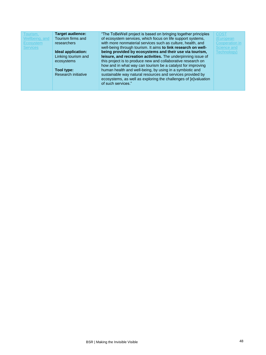| <b>Target audience:</b><br>"The ToBeWell project is based on bringing together principles<br><b>COST</b><br>Tourism,<br>of ecosystem services, which focus on life support systems,<br>Tourism firms and<br>Wellbeing, and<br>(European<br>with more nonmaterial services such as culture, health, and<br><b>Cooperation in</b><br>Ecosystem<br><b>researchers</b><br>well-being through tourism. It aims to link research on well-<br>Science and<br><b>Services</b><br>being provided by ecosystems and their use via tourism,<br>Ideal application:<br>Technology)<br>Linking tourism and<br>leisure, and recreation activities. The underpinning issue of<br>this project is to produce new and collaborative research on<br>ecosystems<br>how and in what way can tourism be a catalyst for improving<br>human health and well-being, by using in a symbiotic and<br>Tool type:<br>sustainable way natural resources and services provided by<br>Research initiative<br>ecosystems, as well as exploring the challenges of [e]valuation<br>of such services." |  |
|--------------------------------------------------------------------------------------------------------------------------------------------------------------------------------------------------------------------------------------------------------------------------------------------------------------------------------------------------------------------------------------------------------------------------------------------------------------------------------------------------------------------------------------------------------------------------------------------------------------------------------------------------------------------------------------------------------------------------------------------------------------------------------------------------------------------------------------------------------------------------------------------------------------------------------------------------------------------------------------------------------------------------------------------------------------------|--|
|--------------------------------------------------------------------------------------------------------------------------------------------------------------------------------------------------------------------------------------------------------------------------------------------------------------------------------------------------------------------------------------------------------------------------------------------------------------------------------------------------------------------------------------------------------------------------------------------------------------------------------------------------------------------------------------------------------------------------------------------------------------------------------------------------------------------------------------------------------------------------------------------------------------------------------------------------------------------------------------------------------------------------------------------------------------------|--|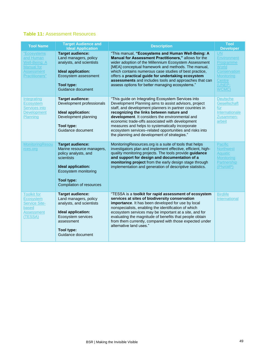#### **Table 11:** Assessment Resources

| <b>Tool Name</b>                                                                                      | <b>Target Audience and</b><br><b>Ideal Application</b>                                                                                                                                           | <b>Description</b>                                                                                                                                                                                                                                                                                                                                                                                                                                                                      | <b>Tool</b><br><b>Developer</b>                                                                                         |
|-------------------------------------------------------------------------------------------------------|--------------------------------------------------------------------------------------------------------------------------------------------------------------------------------------------------|-----------------------------------------------------------------------------------------------------------------------------------------------------------------------------------------------------------------------------------------------------------------------------------------------------------------------------------------------------------------------------------------------------------------------------------------------------------------------------------------|-------------------------------------------------------------------------------------------------------------------------|
| "Ecosystems<br>and Human<br>Well-Being: A<br><b>Manual</b> for<br><b>Assessment</b><br>Practitioners" | <b>Target audience:</b><br>Land managers, policy<br>analysts, and scientists<br>Ideal application:<br>Ecosystem assessment<br><b>Tool type:</b><br>Guidance document                             | "This manual, "Ecosystems and Human Well-Being: A<br>Manual for Assessment Practitioners," allows for the<br>wider adoption of the Millennium Ecosystem Assessment<br>[MEA] conceptual framework and methods. The manual,<br>which contains numerous case studies of best practice,<br>offers a practical guide for undertaking ecosystem<br>assessments and includes tools and approaches that can<br>assess options for better managing ecosystems."                                  | <b>UN</b><br><b>Environment</b><br>Programme<br>World<br>Conservation<br><b>Monitoring</b><br>Centre<br>(UNEP-<br>WCMC) |
| Integrating<br><b>Ecosystem</b><br>Services into<br><b>Development</b><br>Planning                    | <b>Target audience:</b><br>Development professionals<br>Ideal application:<br>Development planning<br>Tool type:<br>Guidance document                                                            | "This guide on Integrating Ecosystem Services into<br>Development Planning aims to assist advisors, project<br>staff, and development planners in partner countries in<br>recognizing the links between nature and<br>development. It considers the environmental and<br>economic trade-offs associated with development<br>measures and helps to systematically incorporate<br>ecosystem services-related opportunities and risks into<br>the planning and development of strategies." | <b>Deutsche</b><br>Gesellschaft<br>für<br>Internationale<br>Zusammen-<br>arbeit                                         |
| MonitoringResou<br>rces.org                                                                           | <b>Target audience:</b><br>Marine resource managers,<br>policy analysts, and<br>scientists<br>Ideal application:<br>Ecosystem monitoring<br><b>Tool type:</b><br><b>Compilation of resources</b> | MonitoringResources.org is a suite of tools that helps<br>investigators plan and implement effective, efficient, high-<br>quality monitoring projects. The tools provide guidance<br>and support for design and documentation of a<br>monitoring project from the early design stage through<br>implementation and generation of descriptive statistics.                                                                                                                                | Pacific<br><b>Northwest</b><br>Aquatic<br><b>Monitoring</b><br>Partnership<br>(PNAMP)                                   |
| <b>Toolkit for</b><br>Ecosystem<br><b>Service Site-</b><br>based<br><b>Assessment</b><br>(TESSA)      | <b>Target audience:</b><br>Land managers, policy<br>analysts, and scientists<br>Ideal application:<br>Ecosystem services<br>assessment<br>Tool type:<br>Guidance document                        | "TESSA is a toolkit for rapid assessment of ecosystem<br>services at sites of biodiversity conservation<br>importance. It has been developed for use by local<br>nonspecialists, enabling the identification of which<br>ecosystem services may be important at a site, and for<br>evaluating the magnitude of benefits that people obtain<br>from them currently, compared with those expected under<br>alternative land uses."                                                        | <b>Birdlife</b><br>International                                                                                        |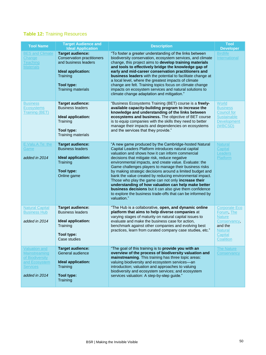### **Table 12:** Training Resources

| <b>Tool Name</b>                                                                                                     | <b>Target Audience and</b><br><b>Ideal Application</b>                                                                                                            | <b>Description</b>                                                                                                                                                                                                                                                                                                                                                                                                                                                                                                                                                                                                                                                                                                  | <b>Tool</b><br><b>Developer</b>                                                                                          |
|----------------------------------------------------------------------------------------------------------------------|-------------------------------------------------------------------------------------------------------------------------------------------------------------------|---------------------------------------------------------------------------------------------------------------------------------------------------------------------------------------------------------------------------------------------------------------------------------------------------------------------------------------------------------------------------------------------------------------------------------------------------------------------------------------------------------------------------------------------------------------------------------------------------------------------------------------------------------------------------------------------------------------------|--------------------------------------------------------------------------------------------------------------------------|
| <b>BES and Climate</b><br>Change<br><b>Teaching</b><br><b>Materials</b>                                              | <b>Target audience:</b><br><b>Conservation practitioners</b><br>and business leaders<br>Ideal application:<br>Training<br>Tool type:<br><b>Training materials</b> | "To foster a greater understanding of the links between<br>biodiversity conservation, ecosystem services, and climate<br>change, this project aims to develop training materials<br>and tools to effectively bridge the knowledge gap of<br>early and mid-career conservation practitioners and<br>business leaders with the potential to facilitate change at<br>a local level, where the greatest impacts of climate<br>change are felt. Training topics focus on climate change<br>impacts on ecosystem services and natural solutions to<br>climate change adaptation and mitigation."                                                                                                                          | <b>Birdlife</b><br>International                                                                                         |
| <b>Business</b><br><b>Ecosystems</b><br><b>Training (BET)</b>                                                        | <b>Target audience:</b><br><b>Business leaders</b><br>Ideal application:<br>Training<br>Tool type:<br><b>Training materials</b>                                   | "Business Ecosystems Training (BET) course is a freely-<br>available capacity-building program to increase the<br>knowledge and understanding of the links between<br>ecosystems and business. The objective of BET course<br>is to equip companies with the skills they need to better<br>manage their impacts and dependencies on ecosystems<br>and the services that they provide."                                                                                                                                                                                                                                                                                                                              | World<br><b>Business</b><br><b>Council for</b><br><b>Sustainable</b><br><b>Development</b><br>(WBCSD)                    |
| E.Valu.A.Te: the<br>Game<br>added in 2014                                                                            | <b>Target audience:</b><br><b>Business leaders</b><br>Ideal application:<br>Training<br>Tool type:<br>Online game                                                 | "A new game produced by the Cambridge-hosted Natural<br>Capital Leaders Platform introduces natural capital<br>valuation and shows how it can inform commercial<br>decisions that mitigate risk, reduce negative<br>environmental impacts, and create value. Evaluate: the<br>Game challenges players to manage their business risks<br>by making strategic decisions around a limited budget and<br>bank the value created by reducing environmental impact.<br>Those who play the game can not only increase their<br>understanding of how valuation can help make better<br>business decisions but it can also give them confidence<br>to explore the business trade-offs that can be informed by<br>valuation." | <b>Natural</b><br>Capital<br>Leaders<br>Platform                                                                         |
| <b>Natural Capital</b><br><b>Business Hub</b><br>added in 2014                                                       | <b>Target audience:</b><br><b>Business leaders</b><br>Ideal application:<br>Training<br>Tool type:<br>Case studies                                                | "The Hub is a collaborative, open, and dynamic online<br>platform that aims to help diverse companies at<br>varying stages of maturity on natural capital issues to<br>evaluate and make the business case for action,<br>benchmark against other companies and evolving best<br>practices, learn from curated company case studies, etc."                                                                                                                                                                                                                                                                                                                                                                          | <b>Corporate Eco</b><br>Forum, The<br><b>Nature</b><br>Conservancy,<br>and the<br><b>Natural</b><br>Capital<br>Coalition |
| <b>Valuation and</b><br><b>Mainstreaming</b><br>of Biodiversity<br>and Ecosystem<br><u>Services</u><br>added in 2014 | <b>Target audience:</b><br>General audience<br>Ideal application:<br>Training<br>Tool type:<br>Training                                                           | "The goal of this training is to provide you with an<br>overview of the process of biodiversity valuation and<br>mainstreaming. This training has three topic areas:<br>valuing biodiversity and ecosystem services-an<br>introduction; valuation and approaches to valuing<br>biodiversity and ecosystem services; and ecosystem<br>services valuation: A step-by-step guide."                                                                                                                                                                                                                                                                                                                                     | <b>The Nature</b><br>Conservancy                                                                                         |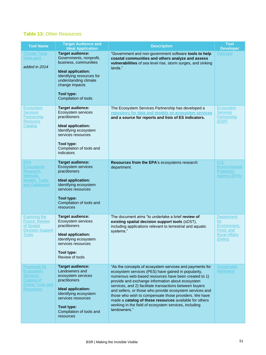### **Table 13:** Other Resources

| <b>Tool Name</b>                                                                                           | <b>Target Audience and</b><br><b>Ideal Application</b>                                                                                                                                                          | <b>Description</b>                                                                                                                                                                                                                                                                                                                                                                                                                                                                                                                            | <b>Tool</b><br><b>Developer</b>                                                          |
|------------------------------------------------------------------------------------------------------------|-----------------------------------------------------------------------------------------------------------------------------------------------------------------------------------------------------------------|-----------------------------------------------------------------------------------------------------------------------------------------------------------------------------------------------------------------------------------------------------------------------------------------------------------------------------------------------------------------------------------------------------------------------------------------------------------------------------------------------------------------------------------------------|------------------------------------------------------------------------------------------|
| <b>Climate Tools</b><br>(data.gov)<br>added in 2014                                                        | <b>Target audience:</b><br>Governments, nonprofit,<br>business, communities<br>Ideal application:<br>Identifying resources for<br>understanding climate<br>change impacts<br>Tool type:<br>Compilation of tools | "Government and non-government software tools to help<br>coastal communities and others analyze and assess<br>vulnerabilities of sea level rise, storm surges, and sinking<br>lands."                                                                                                                                                                                                                                                                                                                                                         | Data.gov                                                                                 |
| Ecosystem<br><b>Services</b><br><b>Partnership</b><br>Resource<br>Catalog                                  | <b>Target audience:</b><br>Ecosystem services<br>practitioners<br>Ideal application:<br>Identifying ecosystem<br>services resources<br>Tool type:<br>Compilation of tools and<br>indicators                     | The Ecosystem Services Partnership has developed a<br>repository for data and models on ecosystem services<br>and a source for reports and lists of ES indicators.                                                                                                                                                                                                                                                                                                                                                                            | Ecosystem<br><b>Services</b><br>Partnership<br>(ESP)                                     |
| <b>EPA</b><br><b>Ecosystems</b><br>Research:<br>Methods,<br>Models, Tools,<br>and Databases                | <b>Target audience:</b><br>Ecosystem services<br>practitioners<br>Ideal application:<br>Identifying ecosystem<br>services resources<br>Tool type:<br>Compilation of tools and<br>resources                      | Resources from the EPA's ecosystems research<br>department.                                                                                                                                                                                                                                                                                                                                                                                                                                                                                   | <b>U.S.</b><br>Environmental<br>Protection<br><b>Agency (EPA)</b>                        |
| <b>Exploring the</b><br><b>Future: Review</b><br>of Spatial<br><b>Decision Support</b><br>Tools            | <b>Target audience:</b><br>Ecosystem services<br>practitioners<br>Ideal application:<br>Identifying ecosystem<br>services resources<br>Tool type:<br>Review of tools                                            | The document aims "to undertake a brief review of<br>existing spatial decision support tools (sDST),<br>including applications relevant to terrestrial and aquatic<br>systems."                                                                                                                                                                                                                                                                                                                                                               | <b>Department</b><br>for<br>Environment,<br>Food, and<br><b>Rural Affairs</b><br>(Defra) |
| <b>Payments for</b><br>Ecosystem<br>Services:<br>Catalog of<br><b>Online Tools and</b><br><b>Resources</b> | <b>Target audience:</b><br>Landowners and<br>ecosystem services<br>practitioners<br>Ideal application:<br>Identifying ecosystem<br>services resources<br>Tool type:<br>Compilation of tools and<br>resources    | "As the concepts of ecosystem services and payments for<br>ecosystem services (PES) have gained in popularity,<br>numerous web-based resources have been created to 1)<br>provide and exchange information about ecosystem<br>services, and 2) facilitate transactions between buyers<br>and sellers, or those who provide ecosystem services and<br>those who wish to compensate those providers. We have<br>made a catalog of these resources available for others<br>working in the field of ecosystem services, including<br>landowners." | <b>Sustainable</b><br><b>Northwest</b>                                                   |